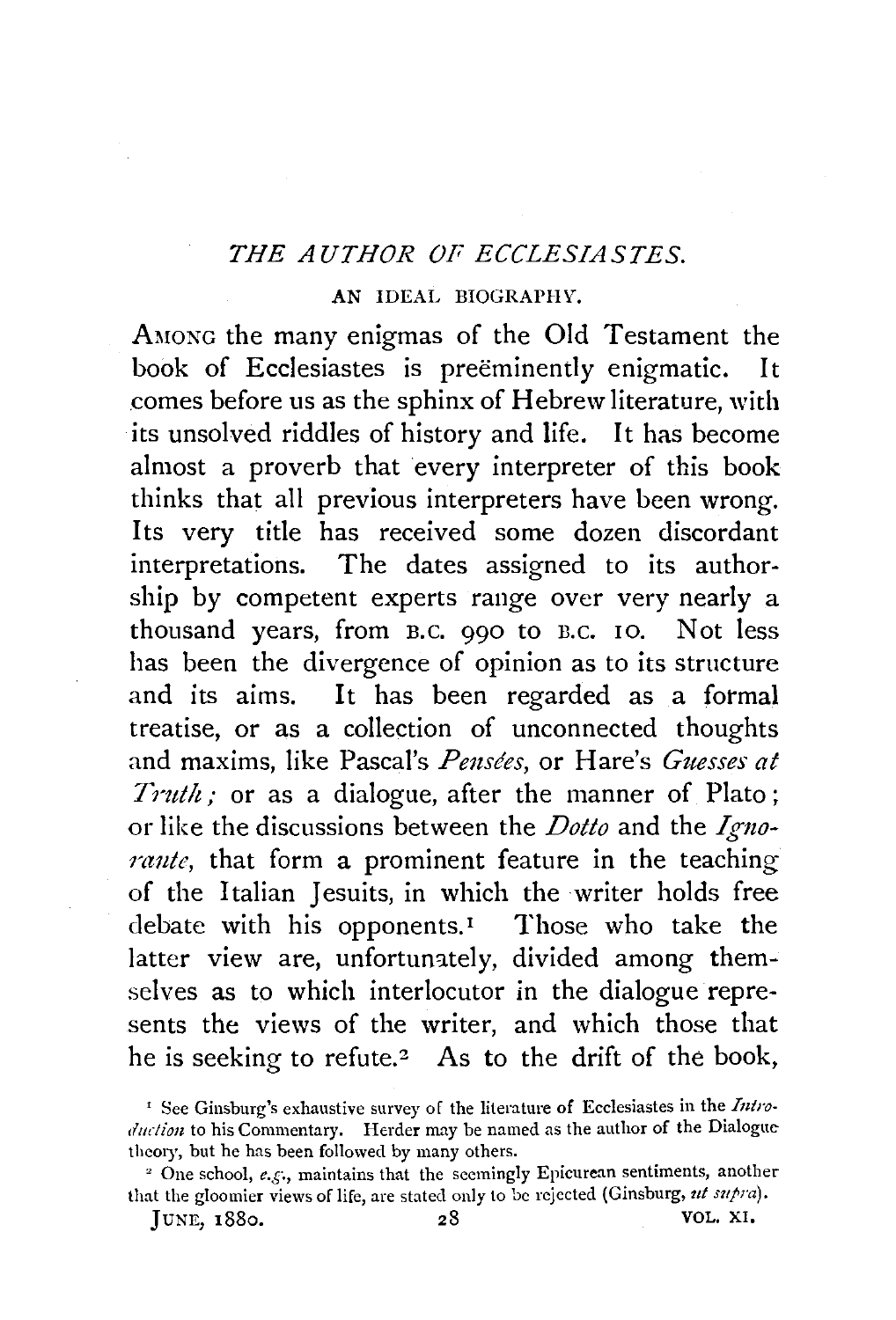## *THE AUTHOR OF ECCLESIASTES.*

## AN IDEAL BIOGRAPHY.

AMONG the many enigmas of the Old Testament the book of Ecclesiastes is preeminently enigmatic. It .comes before us as the sphinx of Hebrew literature, with its unsolved riddles of history and life. It has become almost a proverb that every interpreter of this book thinks that all previous interpreters have been wrong. Its very title has received some dozen discordant interpretations. The dates assigned to its authorship by competent experts range over very nearly a thousand years, from B.c. 990 to n.c. 10. Not less has been the divergence of opinion as to its structure and its aims. It has been regarded as a formal treatise, or as a collection of unconnected thoughts and maxims, like Pascal's *Pensées*, or Hare's *Guesses at Truth*; or as a dialogue, after the manner of Plato; or like the discussions between the *Dotto* and the *Igno*rante, that form a prominent feature in the teaching of the Italian Jesuits, in which the writer holds free debate with his opponents.<sup>1</sup> Those who take the latter view are, unfortunately, divided among themselves as to which interlocutor in the dialogue represents the views of the writer, and which those that he is seeking to refute.<sup>2</sup> As to the drift of the book,

}UNE, 1880, 28 VOL. XI,

<sup>&#</sup>x27; See Ginsburg's exhaustive survey of the literature of Ecclesiastes in the *Intro· dud ion* to his Commentary. Herder may be named as the author of the Dialogue

theory, but he has been followed by many others. 2 One school, *e.g.,* maintains that the seemingly Epicurean sentiments, another that the gloomier views of life, are stated only to be rejected (Ginsburg, ut supra).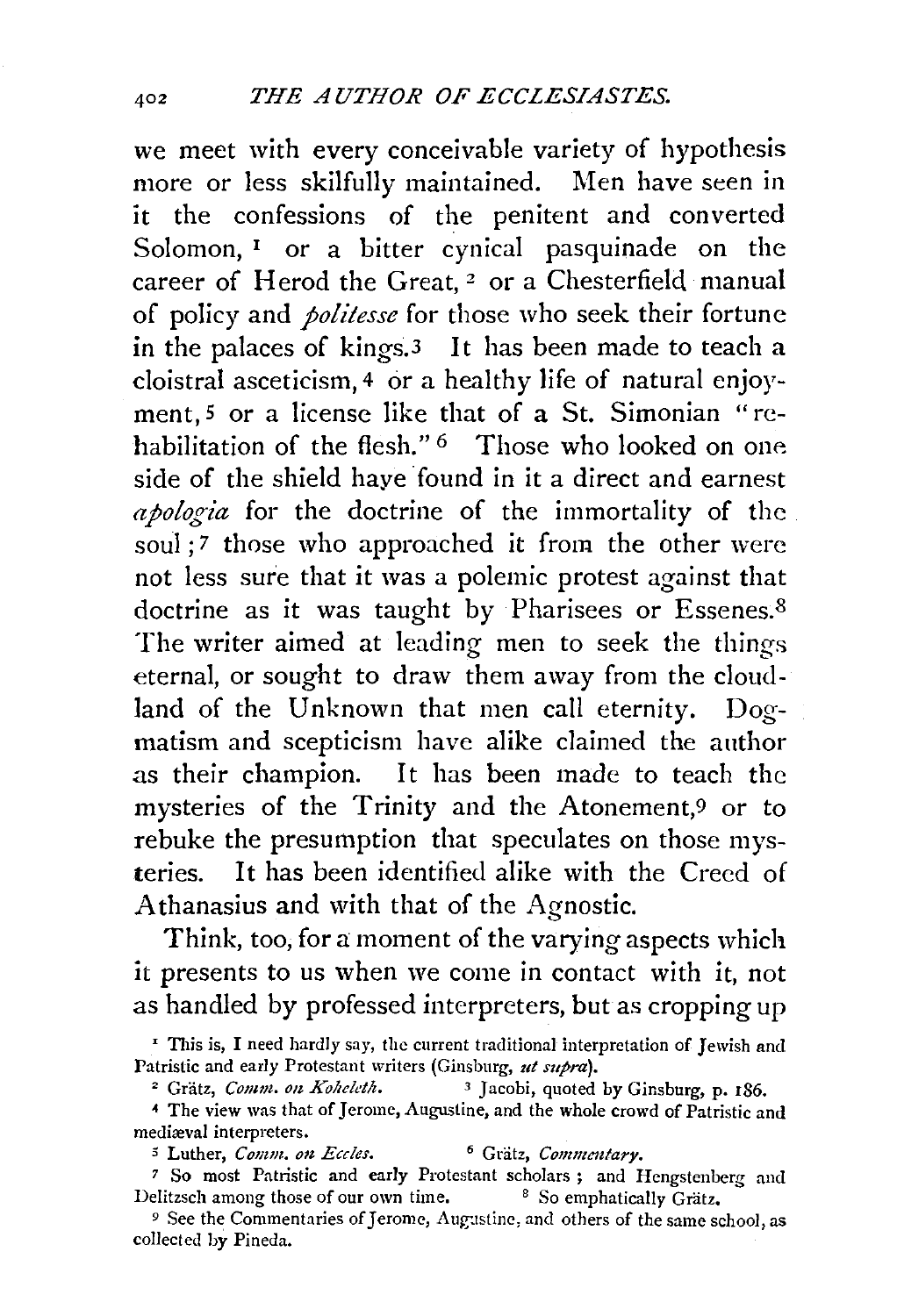we meet with every conceivable variety of hypothesis more or less skilfully maintained. Men have seen in it the confessions of the penitent and converted Solomon, <sup>1</sup> or a bitter cynical pasquinade on the career of Herod the Great, 2 or a Chesterfield manual of policy and *politesse* for those who seek their fortune in the palaces of kings.3 It has been made to teach a cloistral asceticism, 4 or a healthy life of natural enjoyment, 5 or a license like that of a St. Simonian "rehabilitation of the flesh."<sup>6</sup> Those who looked on one side of the shield haye found in it a direct and earnest *apologia* for the doctrine of the immortality of the soul ;7 those who approached it from the other were not less sure that it was a polemic protest against that doctrine as it was taught by Pharisees or Essenes.<sup>8</sup> The writer aimed at leading men to seek the things eternal, or sought to draw them away from the cloudland of the Unknown that men call eternity. Dogmatism and scepticism have alike claimed the author as their champion. It has been made to teach the mysteries of the Trinity and the Atonement,9 or to rebuke the presumption that speculates on those mysteries. It has been identified alike with the Creed of Athanasius and with that of the Agnostic.

Think, too, for a moment of the varying aspects which it presents to us when we come in contact with it, not as handled by professed interpreters, but as cropping up

<sup>&#</sup>x27; This is, I need hardly say, the current traditional interpretation of Jewish and Patristic and early Protestant writers (Ginsburg, *ut supra}.* 

<sup>&</sup>lt;sup>2</sup> Grätz, *Comm. on Koheleth.* <sup>3</sup> Jacobi, quoted by Ginsburg, p. 186.

*<sup>4</sup>*The view was that of Jerome, Augustine, and the whole crowd of Patristic and mediæval interpreters.

*<sup>5</sup>* Luther, *Comm. o1z Eccles.* 6 Gratz, *Commmtary.* 

*<sup>7</sup>*So most Patristic and early Protestant scholars ; and Hengstenberg and Delitzsch among those of our own time. <sup>8</sup> So emphatically Grätz.

<sup>&</sup>lt;sup>9</sup> See the Commentaries of Jerome, Augustine, and others of the same school, as collected by Pineda.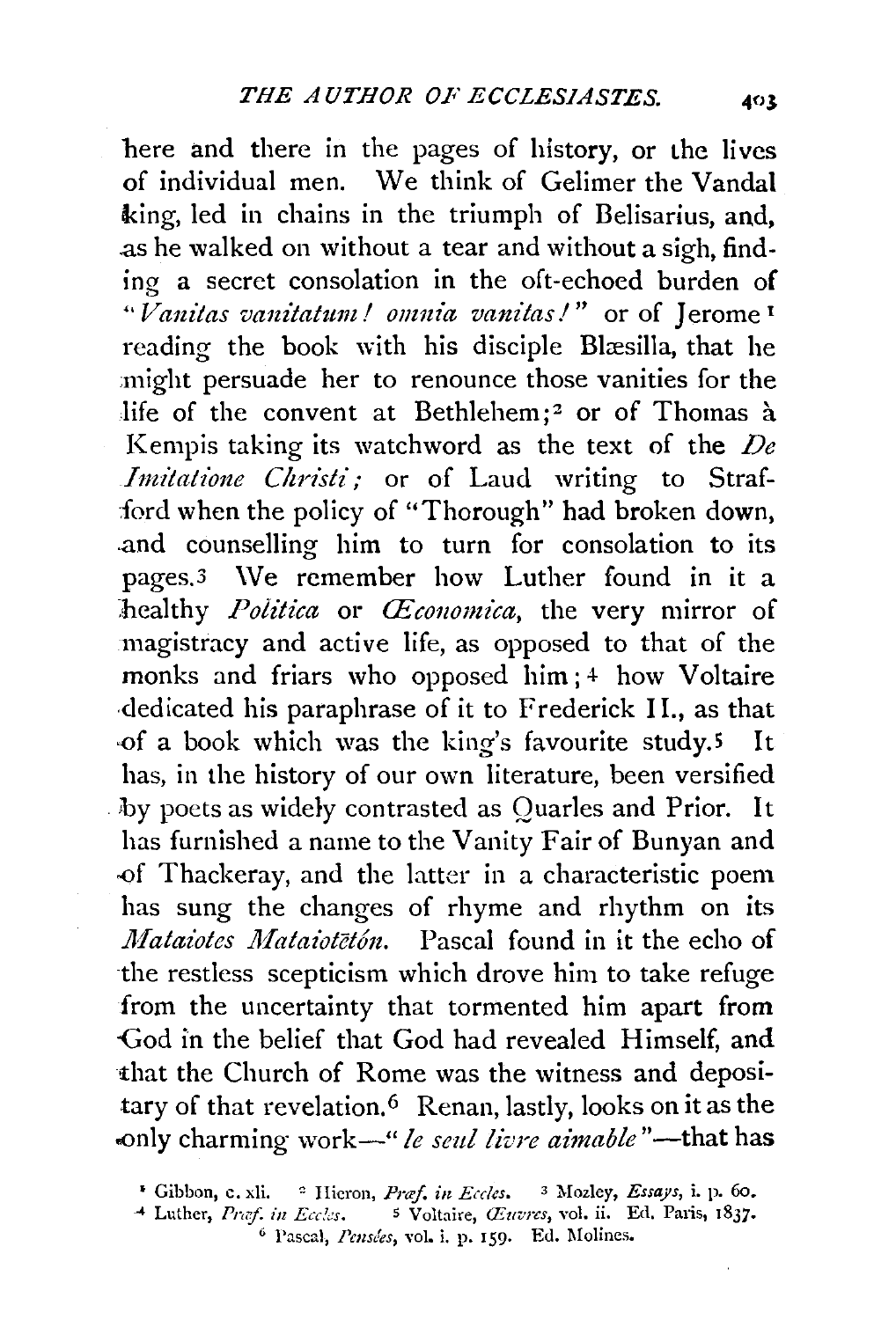here and there in the pages of history, or the lives of individual men. We think of Gelimer the Vandal king, led in chains in the triumph of Belisarius, and, .as he walked on without a tear and without a sigh, finding a secret consolation in the oft-echoed burden of "Vanitas vanitatum! omnia vanitas!" or of Jerome<sup>1</sup> reading the book with his disciple Blæsilla, that he might persuade her to renounce those vanities for the life of the convent at Bethlehem;<sup>2</sup> or of Thomas à Kempis taking its watchword as the text of the *De Imitatione Christi;* or of Laud writing to Strafford when the policy of "Thorough" had broken down, .and counselling him to turn for consolation to its pages.3 \Ve remember how Luther found in it a healthy *Politica* or *Œconomica*, the very mirror of magistracy and active life, as opposed to that of the monks and friars who opposed him; 4 how Voltaire dedicated his paraphrase of it to Frederick II., as that of a book which was the king's favourite study.<sup>5</sup> It has, in the history of our own literature, been versified .. by poets as widely contrasted as Quarles and Prior. It has furnished a name to the Vanity Fair of Bunyan and of Thackeray, and the latter in a characteristic poem has sung the changes of rhyme and rhythm on its *Mataiotes Mataiotetón.* Pascal found in it the echo of the restless scepticism which drove him to take refuge from the uncertainty that tormented him apart from -God in the belief that God had revealed Himself, and that the Church of Rome was the witness and depositary of that revelation.<sup>6</sup> Renan, lastly, looks on it as the .only charming \vork-" *le seul livre aimable* "-that has

<sup>•</sup> Gibbon, c. xli. <sup>a</sup> Hieron, *Praf. in Eccles.* <sup>3</sup> Mozley, *Essays*, i. p. 60.<br>
<sup>4</sup> Luther, *Praf. in Eccles.* 5 Voltaire, *Œuvres*, vol. ii. Ed. Paris, 1837.

<sup>&</sup>quot;' Lt1ther, *Pmf. in Ecc!:s.* s Voltaire, *<Ezwrcs,* vol. ii. Ed. Paris, 1837· 6 Pascal, *Pemees,* vol. i. p. I59· Ed. r.Iolincs.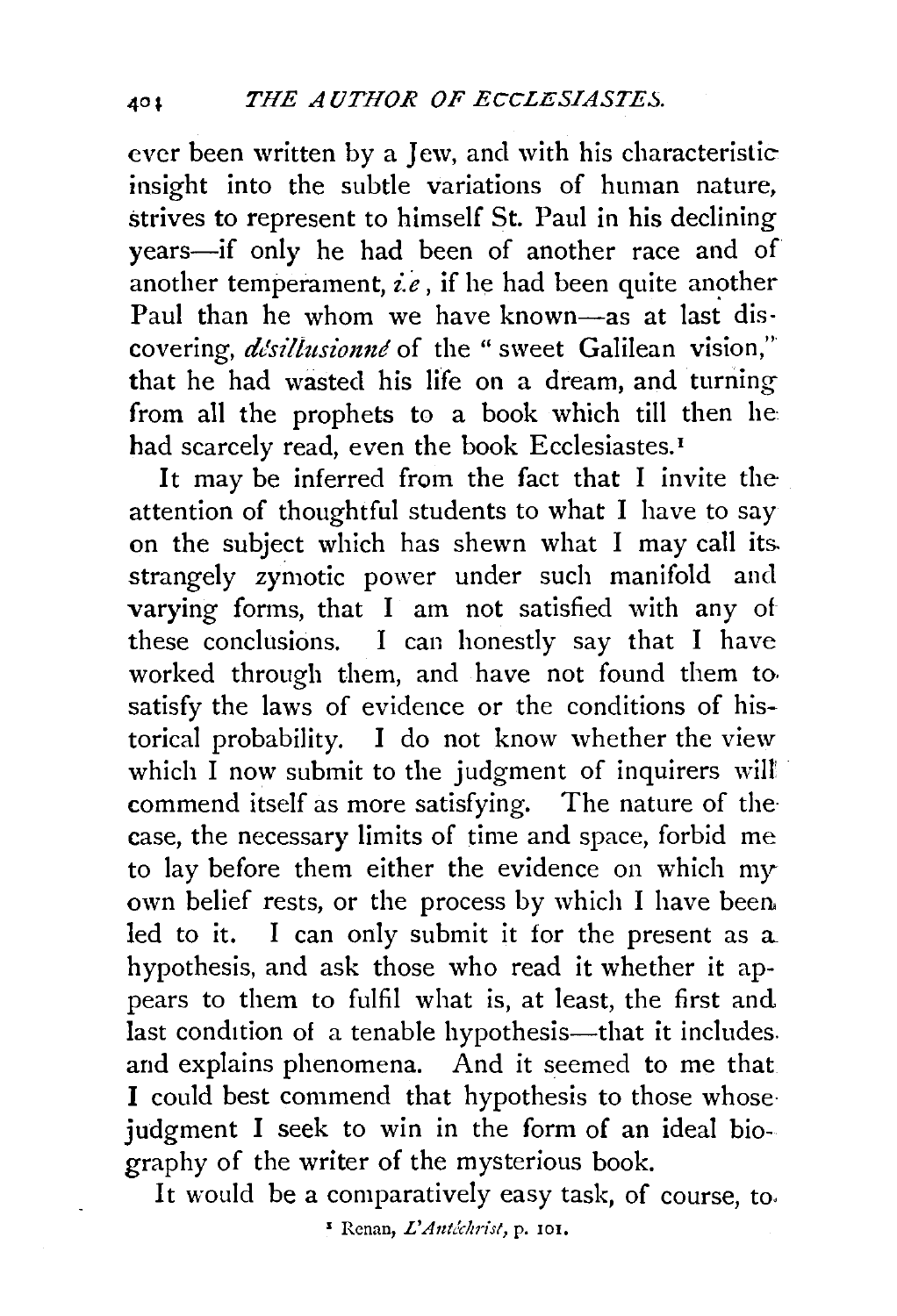ever been written by a Jew, and with his characteristic insight into the subtle variations of human nature, strives to represent to himself St. Paul in his declining years-if only he had been of another race and of another temperament,  $\vec{i.e}$ , if he had been quite another Paul than he whom we have known-as at last discovering, *désillusionné* of the " sweet Galilean vision," that he had wasted his life on a dream, and turning from all the prophets to a book which till then he: had scarcely read, even the book Ecclesiastes.<sup>1</sup>

It may be inferred from the fact that I invite the attention of thoughtful students to what I have to say on the subject which has shewn what I may call its. strangely zymotic power under such manifold and varying forms, that I am not satisfied with any of these conclusions. I can honestly say that I have worked through them, and have not found them to. satisfy the laws of evidence or the conditions of historical probability. I do not know whether the view which  $\overline{I}$  now submit to the judgment of inquirers will commend itself as more satisfying. The nature of the case, the necessary limits of time and space, forbid me to lay before them either the evidence on which my· own belief rests, or the process by which I have been. led to it. I can only submit it for the present as a. hypothesis, and ask those who read it whether it appears to them to fulfil what is, at least, the first and last condition of a tenable hypothesis—that it includes. and explains phenomena. And it seemed to me that I could best commend that hypothesis to those whose· judgment I seek to win in the form of an ideal biography of the writer of the mysterious book.

It would be a comparatively easy task, of course, to,

<sup>&</sup>lt;sup>5</sup> Renan, *L'Antéchrist*, p. 101,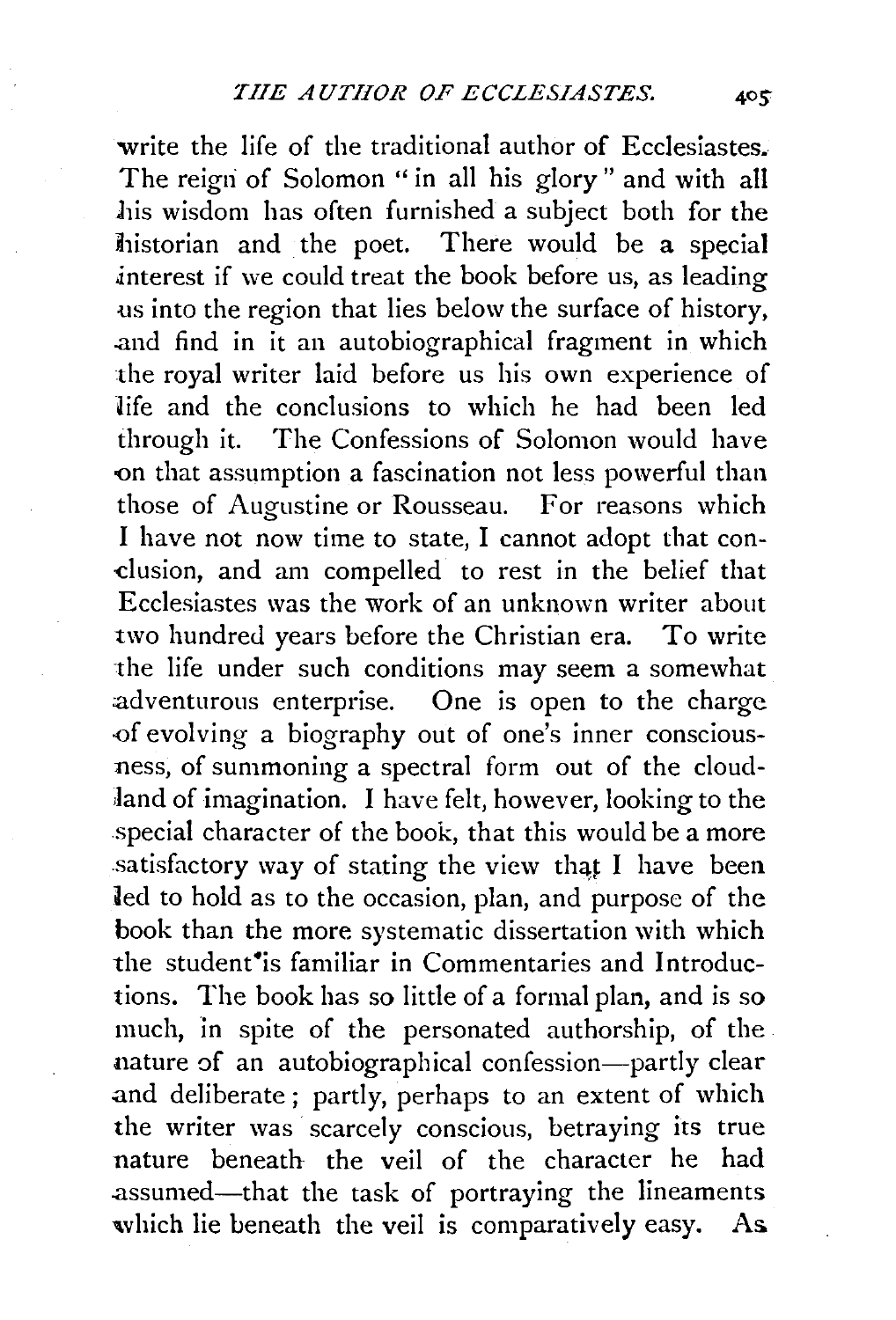write the life of the traditional author of Ecclesiastes. The reign of Solomon " in all his glory" and with all his wisdom has often furnished a subject both for the historian and the poet. There would be a special .interest if we could treat the book before us, as leading us into the region that lies below the surface of history, .and find in it an autobiographical fragment in which the royal writer laid before us his own experience of life and the conclusions to which he had been led through it. The Confessions of Solomon would have on that assumption a fascination not less powerful than those of Augustine or Rousseau. For reasons which I have not now time to state, I cannot adopt that condusion, and am compelled to rest in the belief that Ecclesiastes was the work of an unknown writer about two hundred years before the Christian era. To write the life under such conditions may seem a somewhat adventurous enterprise. One is open to the charge -of evolving a biography out of one's inner consciousness, of summoning a spectral form out of the cloud land of imagination. I have felt, however, looking to the special character of the book, that this would be a more satisfactory way of stating the view that I have been led to hold as to the occasion, plan, and purpose of the book than the more systematic dissertation with which the student<sup>\*</sup>is familiar in Commentaries and Introductions. The book has so little of a formal plan, and is so much, in spite of the personated authorship, of the nature of an autobiographical confession-partly clear and deliberate; partly, perhaps to an extent of which the writer was scarcely conscious, betraying its true nature beneath the veil of the character he had .assumed-that the task of portraying the lineaments which lie beneath the veil is comparatively easy. As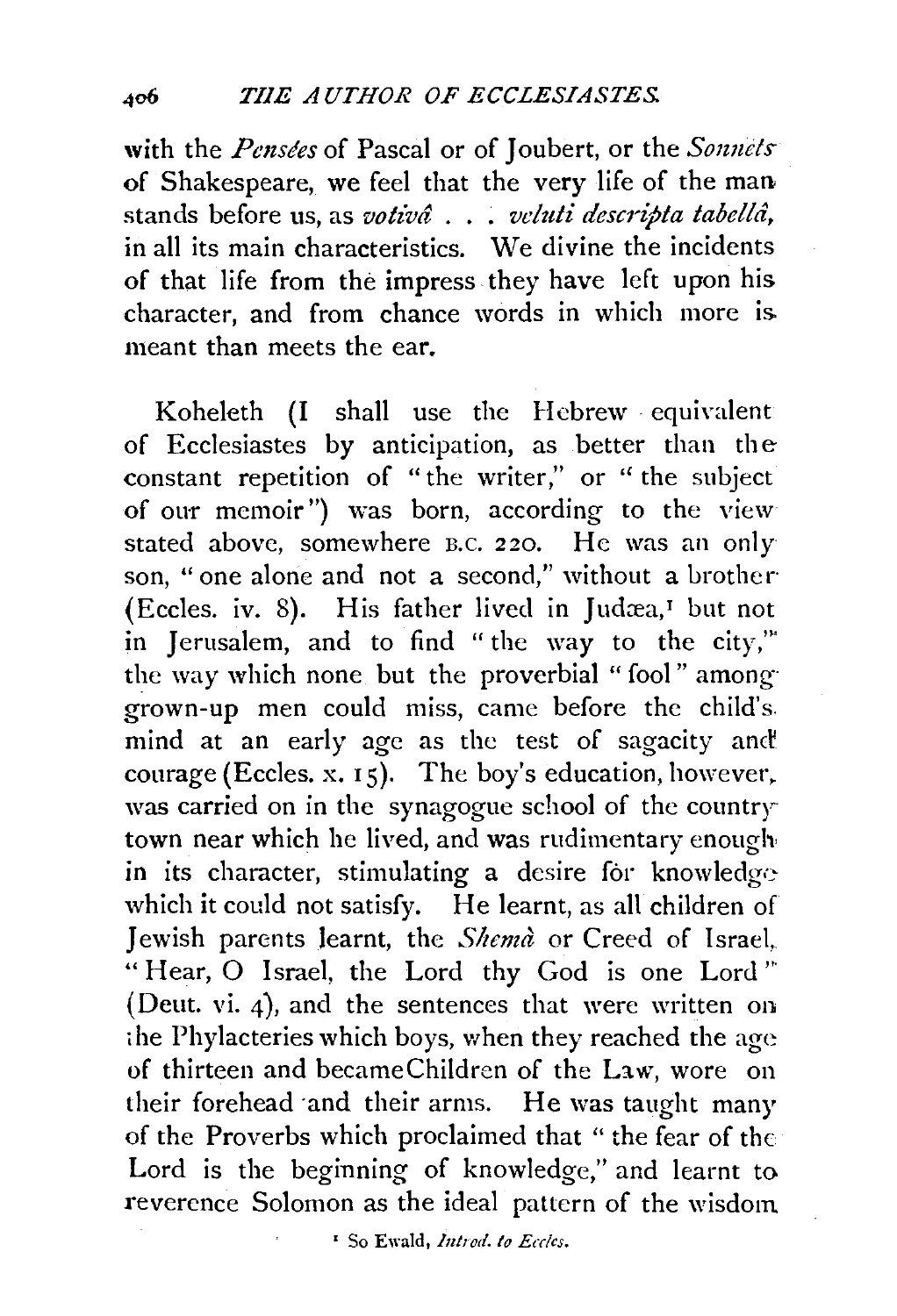with the *Pensées* of Pascal or of Joubert, or the *Sonnets* of Shakespeare, we feel that the very life of the man stands before us, as *votivâ* . . . *veluti descripta tabellâ*, in all its main characteristics. We divine the incidents of that life from the impress they have left upon his character, and from chance words in which more is. meant than meets the ear.

Koheleth (I shall use the Hebrew ·equivalent of Ecclesiastes by anticipation, as better than the constant repetition of "the writer," or "the subject of our memoir") was born, according to the view stated above, somewhere B.C. 220. He was an only son, "one alone and not a second," without a brother· (Eccles. iv. 8). His father lived in Judæa,<sup> $I$ </sup> but not in Jerusalem, and to find "the way to the city,"' the way which none but the proverbial "fool" among grown-up men could miss, came before the child's. mind at an early age as the test of sagacity and courage (Eccles. x. Is). The boy's education, however, was carried on in the synagogue school of the country town near which he lived, and was rudimentary enough· in its character, stimulating a desire for knowledgewhich it could not satisfy. He learnt, as all children of Jewish parents learnt, the *Shema* or Creed of Israel, "Hear, O Israel, the Lord thy God is one Lord" (Deut. vi. 4), and the sentences that were written on ;he Phylacteries which boys, when they reached the age of thirteen and becameChildren of the Law, wore on their forehead ·and their arms. He was taught many of the Proverbs which proclaimed that " the fear of the Lord is the beginning of knowledge," and learnt to reverence Solomon as the ideal pattern of the wisdom

<sup>&</sup>lt;sup>1</sup> So Ewald, *Introd. to Eccles.*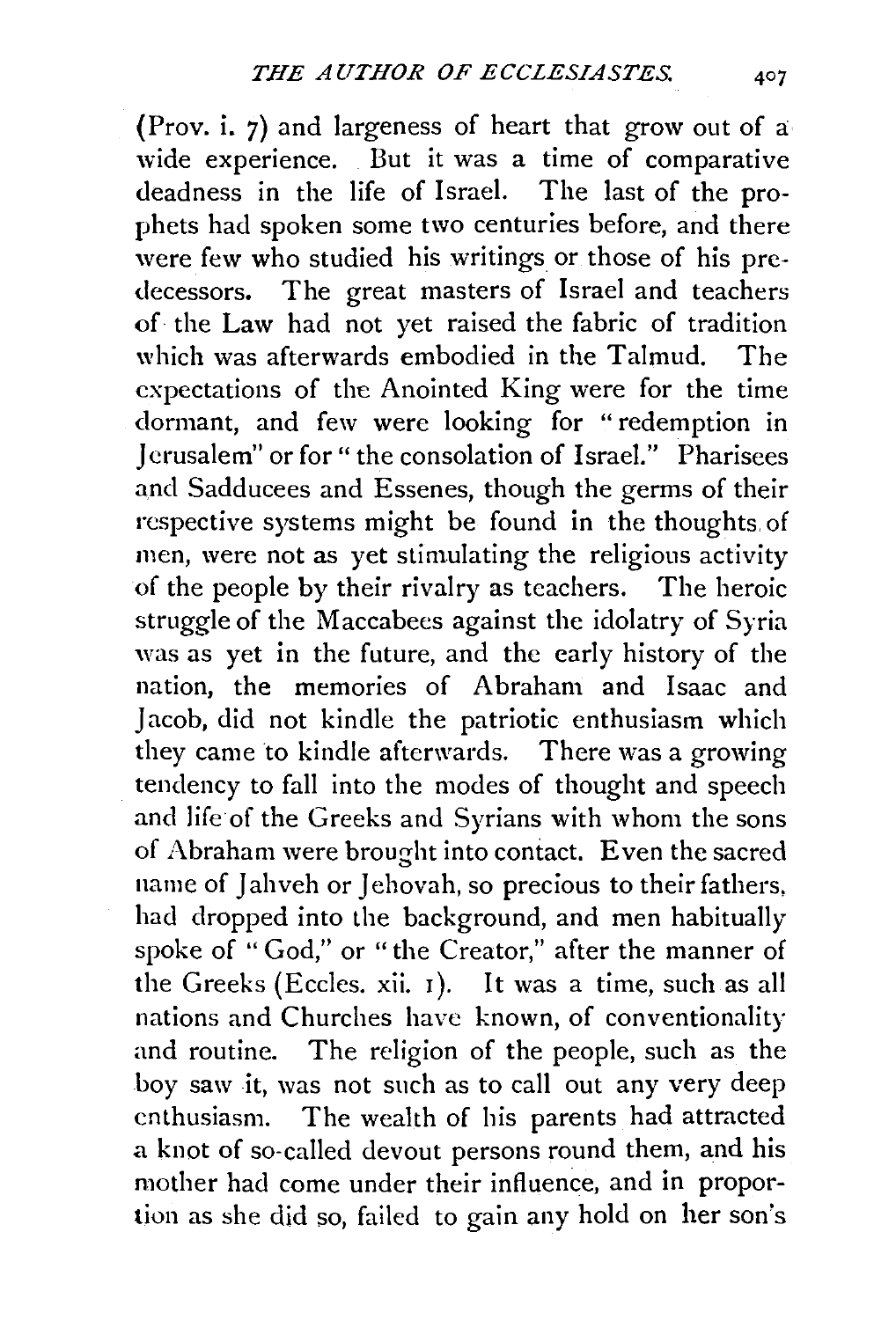(Prov. i. 7) and largeness of heart that grow out of a: wide experience. But it was a time of comparative deadness in the life of Israel. The last of the prophets had spoken some two centuries before, and there were few who studied his writings or those of his predecessors. The great masters of Israel and teachers of the Law had not yet raised the fabric of tradition which was afterwards embodied in the Talmud. The expectations of the Anointed King were for the time dormant, and few were looking for "redemption in J crusalem" or for" the consolation of Israel." Pharisees and Sadducees and Essenes, though the germs of their respective systems might be found in the thoughts of men, were not as yet stimulating the religious activity of the people by their rivalry as teachers. The heroic struggle of the Maccabees against the idolatry of Syria was as yet in the future, and the early history of the nation, the memories of Abraham and lsaac and Jacob, did not kindle the patriotic enthusiasm which they came to kindle afterwards. There was a growing tendency to fall into the modes of thought and speech and life of the Greeks and Syrians with whom the sons of Abraham were brought into contact. Even the sacred name of Jahveh or Jehovah, so precious to their fathers, had dropped into the background, and men habitually spoke of "God," or "the Creator," after the manner of the Greeks (Eccles. xii. I). It was a time, such as all nations and Churches have known, of conventionality and routine. The religion of the people, such as the boy saw it, was not such as to call out any very deep enthusiasm. The wealth of his parents had attracted a knot of so-called devout persons round them, and his mother had come under their influence, and in proportion as she did so, failed to gain any hold on her son's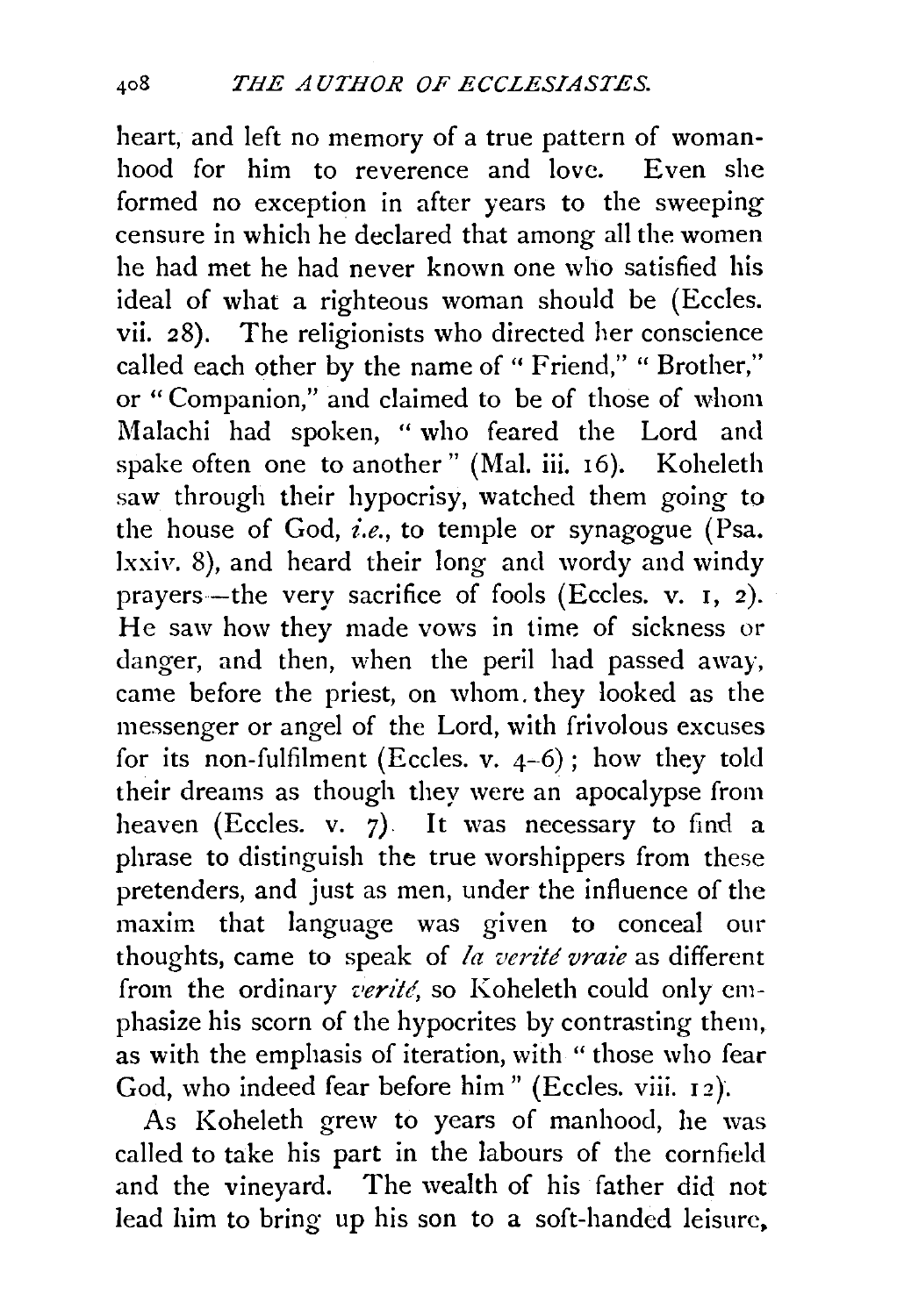heart, and left no memory of a true pattern of womanhood for him to reverence and love. Even she formed no exception in after years to the sweeping censure in which he declared that among all the women he had met he had never known one who satisfied his ideal of what a righteous woman should be (Eccles. vii. 28). The religionists who directed her conscience called each other by the name of "Friend," "Brother," or "Companion," and claimed to be of those of whom Malachi had spoken, "who feared the Lord and spake often one to another" (Mal. iii. 16). Koheleth saw through their hypocrisy, watched them going to the house of God, *i.e.,* to temple or synagogue (Psa. lxxiv. 8), and heard their long and wordy and windy prayers-the very sacrifice of fools (Eccles. v. r, 2). He saw how they made vows in time of sickness or danger, and then, when the peril had passed away, came before the priest, on whom. they looked as the messenger or angel of the Lord, with frivolous excuses for its non-fulfilment (Eccles. v.  $4-6$ ); how they told their dreams as though they were an apocalypse from heaven (Eccles. v.  $\bar{z}$ ). It was necessary to find a phrase to distinguish the true worshippers from these pretenders, and just as men, under the influence of the maxim that language was given to conceal our thoughts, came to speak of *la verité vraie* as different from the ordinary *verité*, so Koheleth could only emphasize his scorn of the hypocrites by contrasting them, as with the emphasis of iteration, with "those who fear God, who indeed fear before him" (Eccles. viii. 12).

As Koheleth grew to years of manhood, he was called to take his part in the labours of the cornfield and the vineyard. The wealth of his father did not lead him to bring up his son to a soft-handed leisure.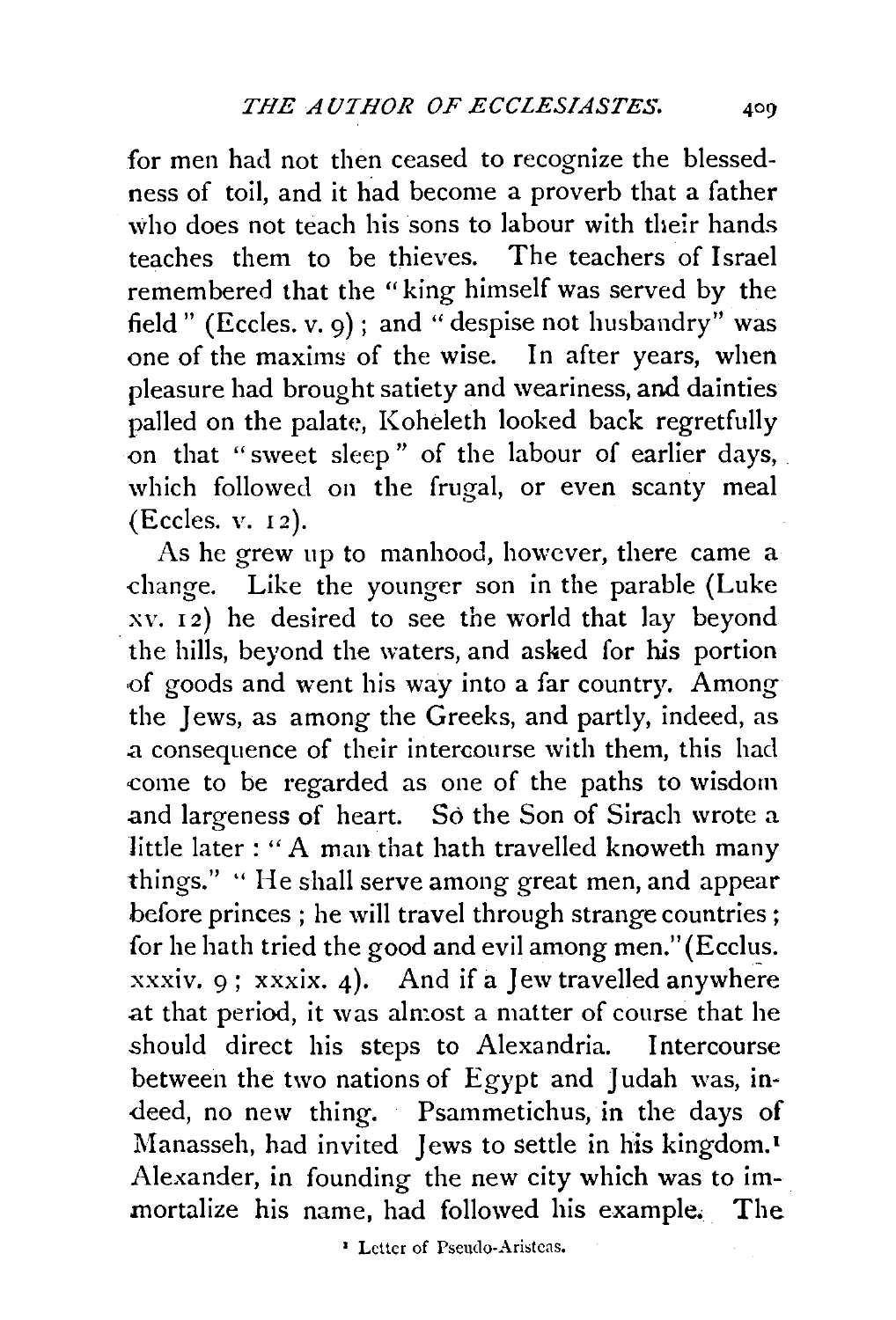for men had not then ceased to recognize the blessedness of toil, and it had become a proverb that a father who does not teach his sons to labour with their hands teaches them to be thieves. The teachers of Israel remembered that the "king himself was served by the field" (Eccles. v. 9); and "despise not husbandry" was one of the maximg of the wise. In after years, when pleasure had brought satiety and weariness, and dainties palled on the palate, Koheleth looked back regretfully on that "sweet sleep " of the labour of earlier days, which followed on the frugal, or even scanty meal (Eccles. v. 12).

As he grew up to manhood, however, there came a -change. Like the younger son in the parable (Luke  $xy. 12$ ) he desired to see the world that lay beyond . the hills, beyond the waters, and asked for his portion of goods and went his way into a far country. Among the Jews, as among the Greeks, and partly, indeed, as .a consequence of their intercourse with them, this had come to be regarded as one of the paths to wisdom and largeness of heart. So the Son of Sirach wrote a little later: "A man that hath travelled knoweth many things." '' He shall serve among great men, and appear before princes ; he will travel through strange countries; for he hath tried the good and evil among men." (Ecclus. xxxiv. 9; xxxix. 4). And if a Jew travelled anywhere .at that period, it was almost a matter of course that he should direct his steps to Alexandria. Intercourse between the two nations of Egypt and Judah was, indeed, no new thing. Psammetichus, in the days of Manasseh, had invited Jews to settle in his kingdom.<sup>1</sup> Alexander, in founding the new city which was to immortalize his name, had followed his example. The

1 Letter of Pseudo-Aristcas.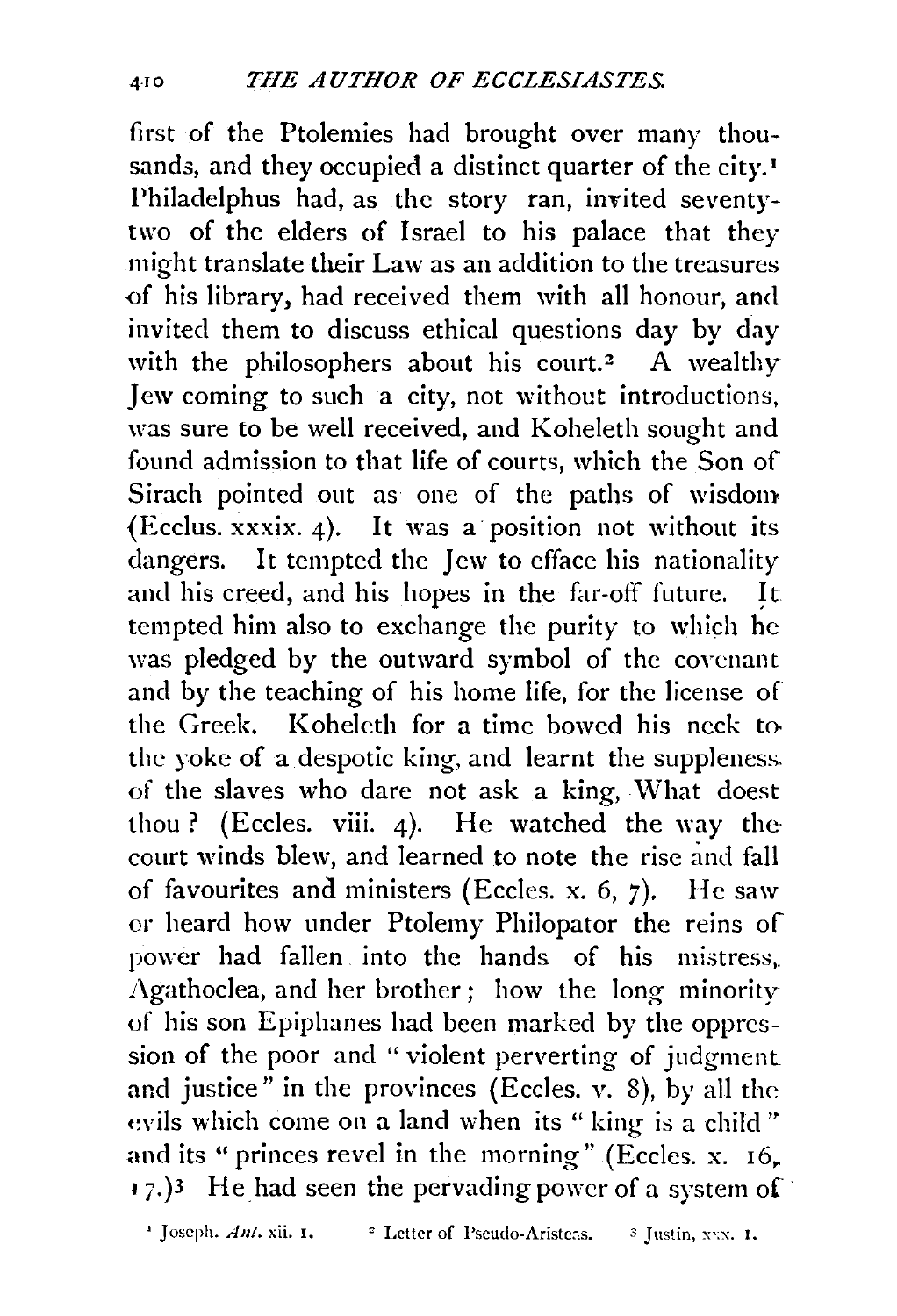first of the Ptolemies had brought over many thousands, and they occupied a distinct quarter of the city.<sup>1</sup> Philadelphus had, as the story ran, invited seventytwo of the elders of Israel to his palace that they might translate their Law as an addition to the treasures -of his library, had received them with all honour, and invited them to discuss ethical questions day by day with the philosophers about his court.<sup>2</sup> A wealthy Jew coming to such a city, not without introductions, was sure to be well received, and Koheleth sought and found admission to that life of courts, which the Son of Sirach pointed out as one of the paths of wisdom (Ecclus. xxxix. 4). It was a position not without its dangers. It tempted the Jew to efface his nationality and his creed, and his hopes in the far-off future. It tempted him also to exchange the purity to which he was pledged by the outward symbol of the covenant and by the teaching of his home life, for the license of the Greek. Koheleth for a time bowed his neck to the yoke of a despotic king, and learnt the suppleness. of the slaves who dare not ask a king, \Vhat doest thou ? (Eccles. viii. 4). He watched the way the court winds blew, and learned to note the rise and fall of favourites and ministers (Eccles. x. 6, 7). He saw or heard how under Ptolemy Philopator the reins of power had fallen into the hands of his mistress,.  $\Lambda$ gathoclea, and her brother; how the long minority of his son Epiphanes had been marked by the oppression of the poor and " violent perverting of judgment and justice" in the provinces (Eccles. v. 8), by all the evils which come on a land when its "king is a child" and its " princes revel in the morning" (Eccles. x.  $16$ .  $(7.3)$ <sup>3</sup> He had seen the pervading power of a system of

<sup>1</sup> Joseph. *Ant.* xii. **1.** <sup>2</sup> Letter of Pseudo-Aristeas. <sup>3</sup> Justin, xxx. 1.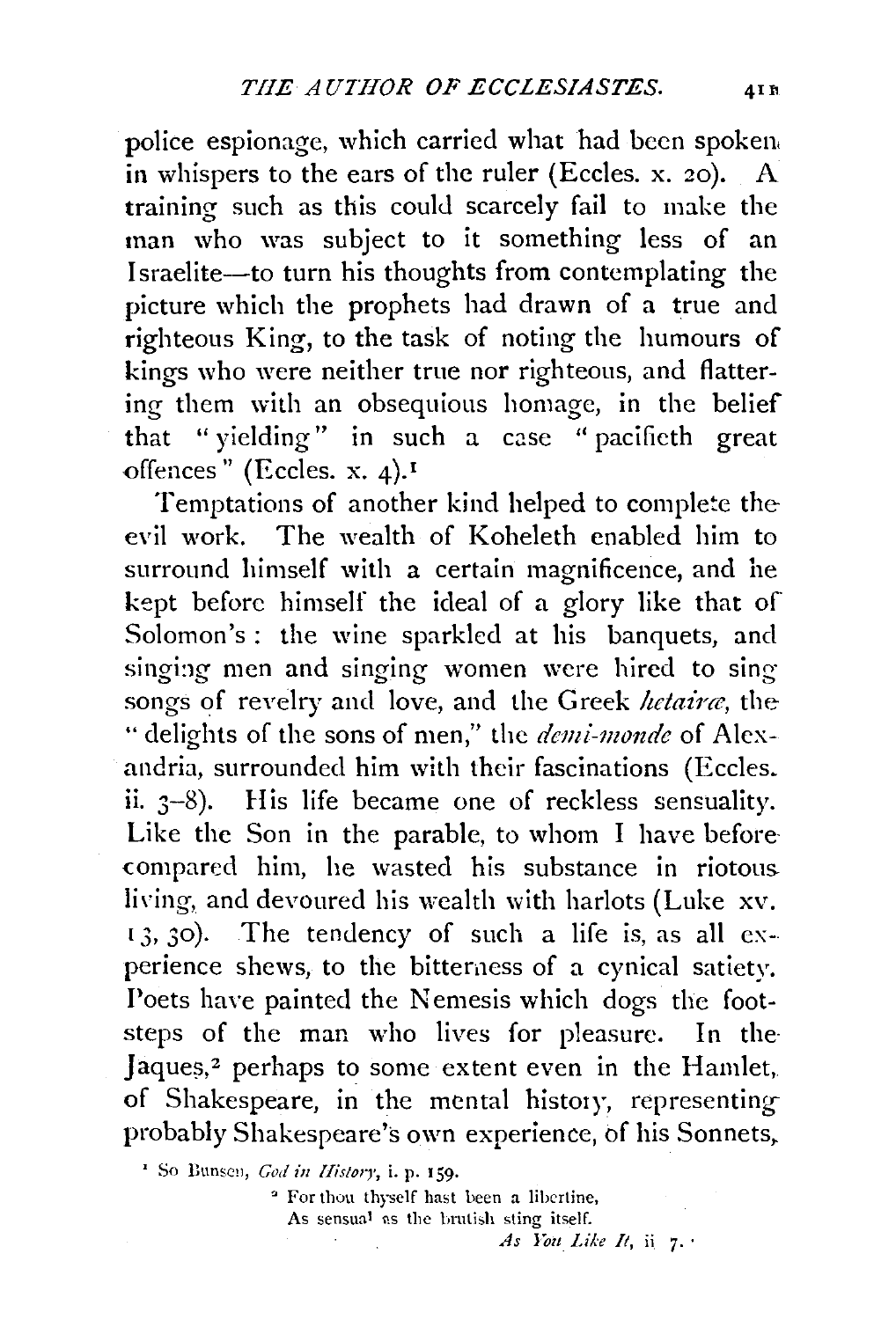police espionage, which carried what had been spoken. in whispers to the ears of the ruler (Eccles. x.  $20$ ). A training such as this could scarcely fail to make the man who was subject to it something less of an Israelite-to turn his thoughts from contemplating the picture which the prophets had drawn of a true and righteous King, to the task of noting the humours of kings who were neither true nor righteous, and flattering them with an obsequious homage, in the belief that " yielding" in such a case " pacificth great offences" (Eccles. x. 4).<sup>1</sup>

Temptations of another kind helped to complete the evil work. The wealth of Koheleth enabled him to surround himself with a certain magnificence, and he kept before himself the ideal of a glory like that of Solomon's : the wine sparkled at his banquets, and singing men and singing women were hired to sing songs of revelry and love, and the Greek *hetaine,* the " delights of the sons of men," the *demi-monde* of Alexandria, surrounded him with their fascinations (Eccles. ii. 3-8). His life became one of reckless sensuality. Like the Son in the parable, to whom I have beforecompared him, he wasted his substance in riotous. living, and devoured his wealth with harlots (Luke xv.  $13, 30$ . The tendency of such a life is, as all experience shews, to the bitterness of a cynical satiety. Poets have painted the Nemesis which dogs the footsteps of the man who lives for pleasure. In the· Jaques,<sup>2</sup> perhaps to some extent even in the Hamlet, of Shakespeare, in the mental history, representing probably Shakespeare's own experience, of his Sonnets,

<sup>1</sup> So Bunsen, *God in History*, i. p. 159.

" For thou thyself hast been a libertine, As sensual as the brutish sting itself. *As loit Like It,* ii 7· ·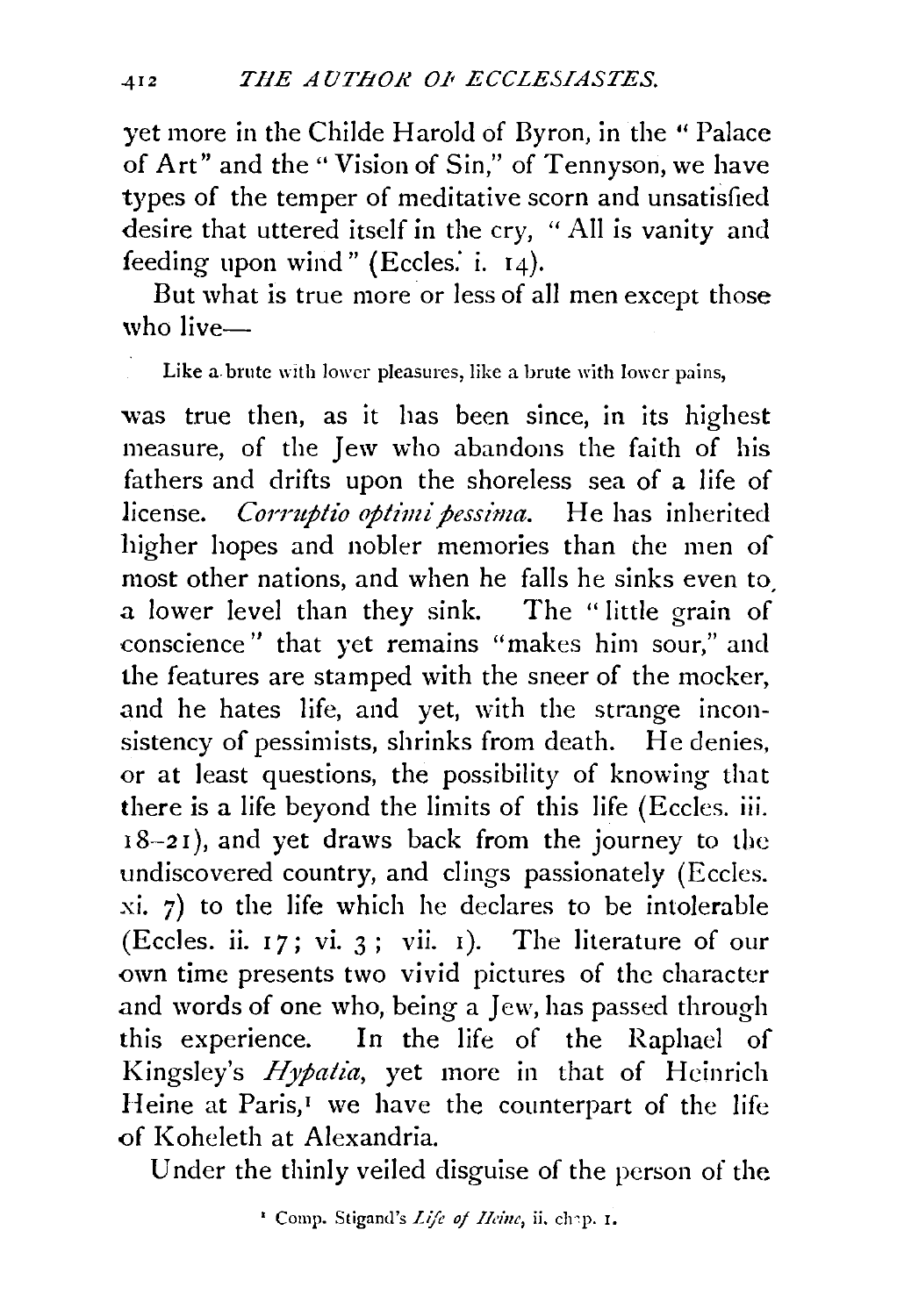yet more in the Childe Harold of Byron, in the "Palace of Art" and the" Vision of Sin," of Tennyson, we have types of the temper of meditative scorn and unsatisfied desire that uttered itself in the cry, "All is vanity and feeding upon wind" (Eccles. i.  $14$ ).

But what is true more or less of all men except those who live $-$ 

Like a brute with lower pleasures, like a brute with lower pains,

was true then, as it has been since, in its highest measure, of the Jew who abandons the faith of his fathers and drifts upon the shoreless sea of a life of license. *Corruptio optimi pessima*. He has inherited higher hopes and nobler memories than the men of most other nations, and when he falls he sinks even to a lower level than they sink. The " little grain of conscience" that yet remains "makes him sour," and the features are stamped with the sneer of the mocker, and he hates life, and yet, with the strange inconsistency of pessimists, shrinks from death. He denies, or at least questions, the possibility of knowing that there is a life beyond the limits of this life (Eccles. iii.  $18-21$ ), and yet draws back from the journey to the undiscovered country, and clings passionately (Eccles. *xi.* 7) to the life which he declares to be intolerable (Eccles. ii.  $17$ ; vi. 3; vii. 1). The literature of our own time presents two vivid pictures of the character and words of one who, being a Jew, has passed through this experience. In the life of the Raphacl of Kingsley's *Hypatia,* yet more in that of Hcinrich Heine at Paris,<sup>1</sup> we have the counterpart of the life of Koheleth at Alexandria.

Under the thinly veiled disguise of the person of the

<sup>•</sup> Comp. Stigand's *Life of llaizc,* ii. ch'P· r.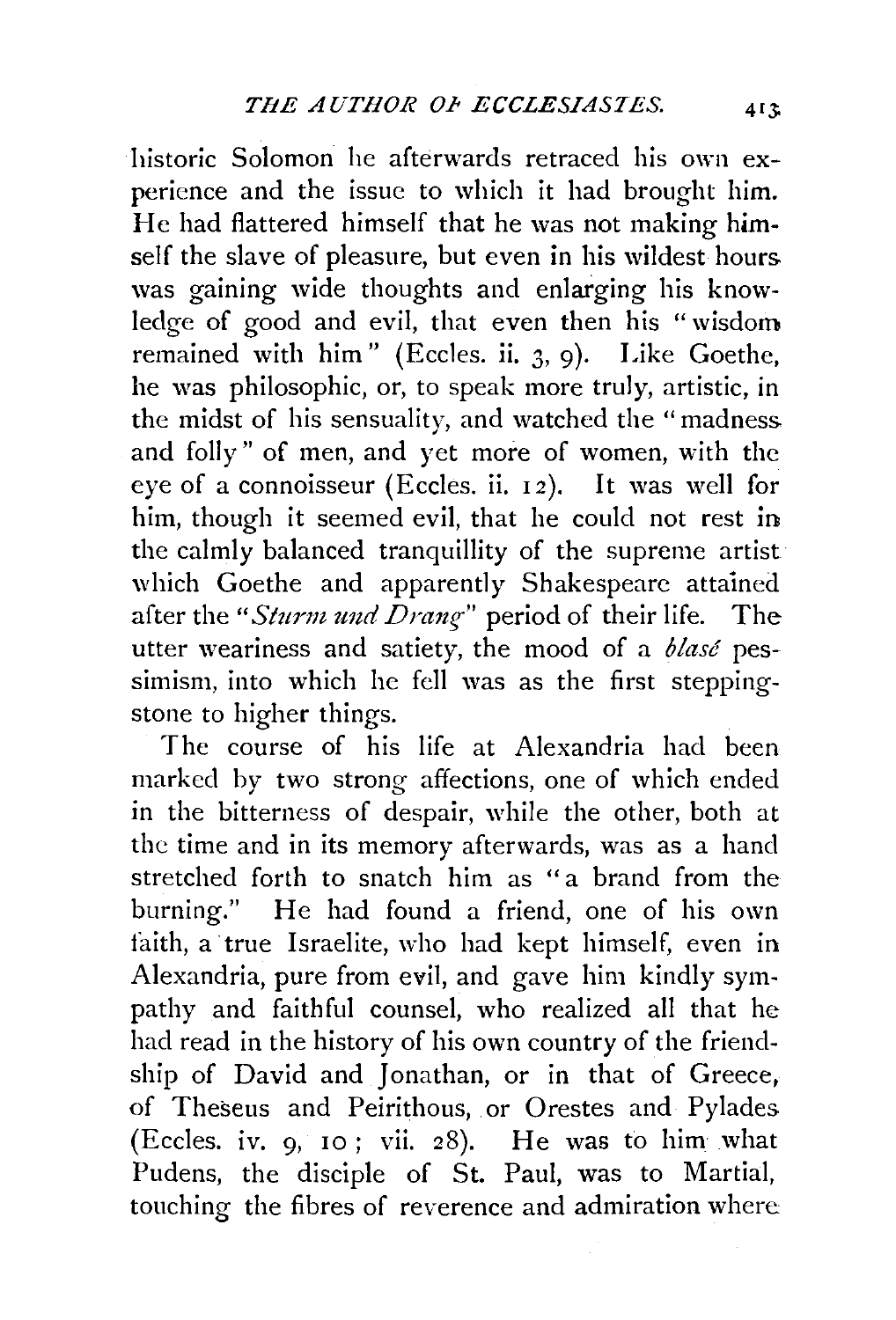historic Solomon he afterwards retraced his own experience and the issue to which it had brought him. He had flattered himself that he was not making **him**self the slave of pleasure, but even in his wildest hours. was gaining wide thoughts and enlarging his knowledge of good and evil, that even then his "wisdom remained with him" (Eccles. ii.  $3, 9$ ). Like Goethe, he was philosophic, or, to speak more truly, artistic, in the midst of his sensuality, and watched the "madness. and folly" of men, and yet more of women, with the eye of a connoisseur (Eccles. ii. 12). It was well for him, though it seemed evil, that he could not rest in the calmly balanced tranquillity of the supreme artist which Goethe and apparently Shakespeare attained after the "*Sturm und Drang*" period of their life. The utter weariness and satiety, the mood of a *blase* pessimism, into which he fell was as the first steppingstone to higher things.

The *course* of his life at Alexandria had been marked by two strong affections, one of which ended in the bitterness of despair, while the other, both at the time and in its memory afterwards, was as a hand stretched forth to snatch him as "a brand from the burning." He had found a friend, one of his own faith, a· true Israelite, who had kept himself, even in Alexandria, pure from evil, and gave him kindly sympathy and faithful counsel, who realized all that he had read in the history of his own country of the friendship of David and Jonathan, or in that of Greece, of Theseus and Peirithous, or Orestes and Pylades (Eccles. iv. 9, 10 ; vii. 28). He was to him what Pudens, the disciple of St. Paul, was to Martial, touching the fibres of reverence and admiration where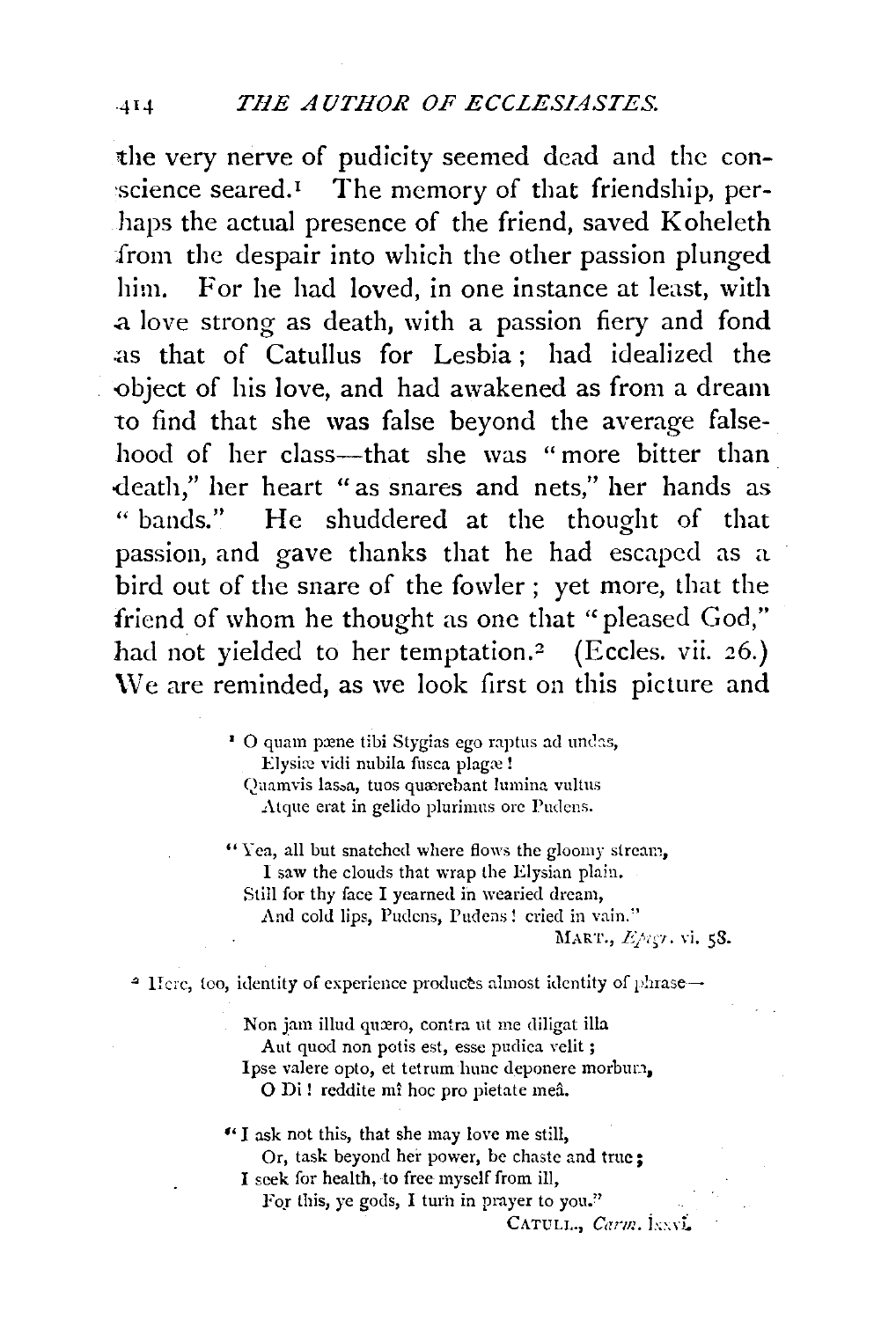the very nerve of pudicity seemed dead and the con-  $\sigma$  science seared.<sup>1</sup> The memory of that friendship, perhaps the actual presence of the friend, saved Koheleth from the despair into which the other passion plunged him. For he had loved, in one instance at least, with .a love strong as death, with a passion fiery and fond .as that of Catullus for Lesbia ; had idealized the -object of his love, and had awakened as from a dream to find that she was false beyond the average falsehood of her class---that she was "more bitter than -death," her heart "as snares and nets," her hands as " bands." He shuddered at the thought of that passion, and gave thanks that he had escaped as a bird out of the snare of the fowler ; yet more, that the friend of whom he thought as one that "pleased God," had not yielded to her temptation.<sup>2</sup> (Eccles. vii. 26.) \Ve are reminded, as we look first on this picture and

> $\cdot$  O quam pæne tibi Stygias ego raptus ad undas, Elysiæ vidi nubila fusca plagæ! Quamvis lassa, tuos quærebant lumina vultus Atque erat in gelido plurimus ore Pudens.

"Yea, all but snatched where flows the gloomy stream, I saw the clouds that wrap the Elysian plain. Still for thy face I yearned in wearied dream, And cold lips, Pudens, Pudens! cried in vain."

1\IART., *Loi•;·!.* vi. 58.

<sup>2</sup> Here, too, identity of experience produces almost identity of phrase-

Non jam illud quæro, contra ut me diligat illa Aut quod non potis est, esse pudica velit ; Ipse valere opto, et tetrum hunc deponere morbum, O Di! reddite mî hoc pro pietate meâ.

•• I ask not this, that she may love me still, Or, task beyond her power, be chaste and true; I seek for health, to free myself from ill,

For this, ye gods, I turn in prayer to you."

CATULL., *Carm.* INNI.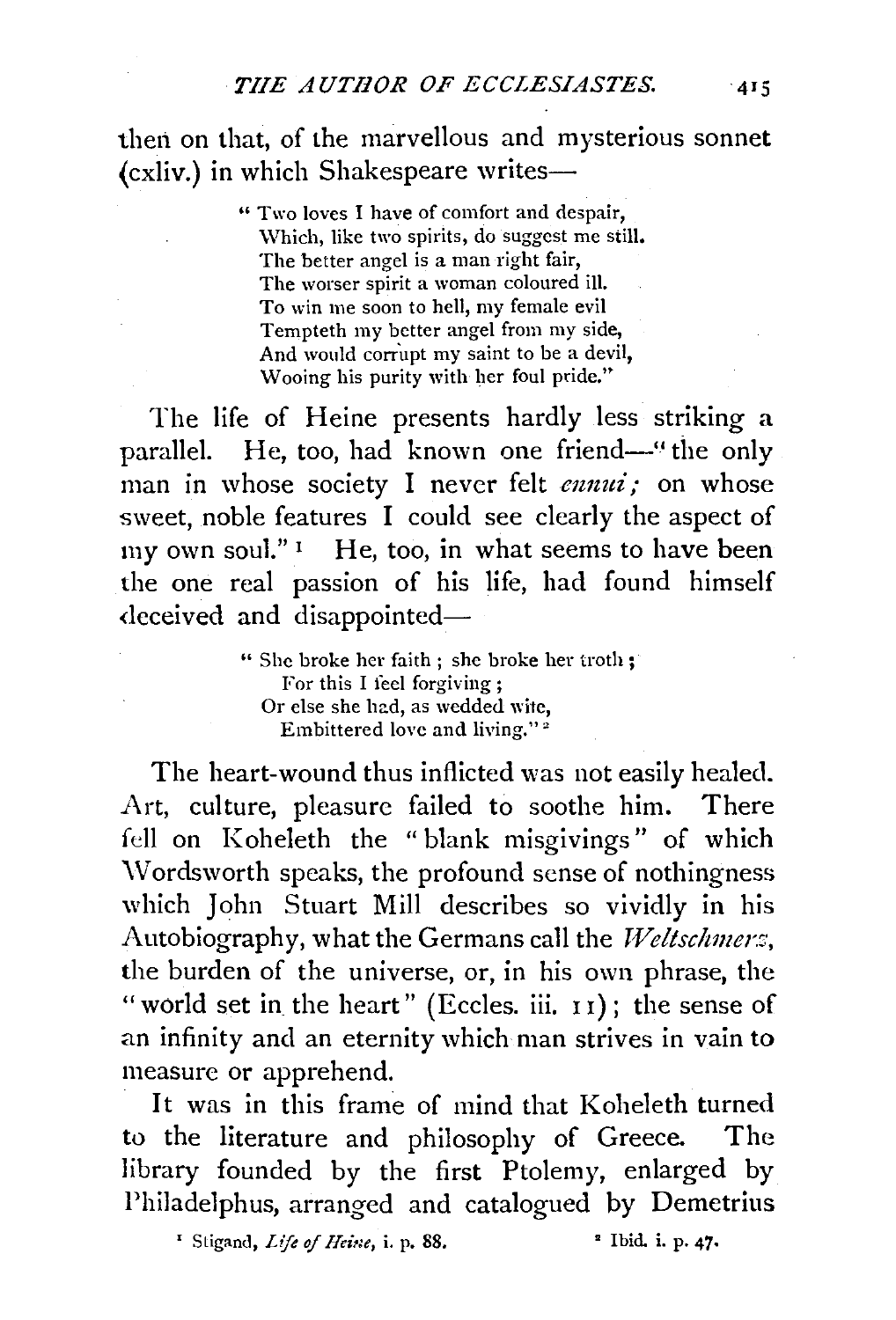then on that, of the marvellous and mysterious sonnet (cxliv.) in which Shakespeare writes-

> " Two loves I have of comfort and despair, \Vhich, like two spirits, do suggest me still. The better angel is a man right fair, The worser spirit a woman coloured ill. To win me soon to hell, my female evil Tempteth my better angel from my side, And would corrupt my saint to be a devil, Wooing his purity with her foul pride."

The life of Heine presents hardly less striking a parallel. He, too, had known one friend—" the only man in whose society I never felt *ennui*; on whose sweet, noble features I could see clearly the aspect of my own soul." $\frac{1}{1}$  He, too, in what seems to have been the one real passion of his life, had found himself deceived and disappointed-

> " She broke her faith ; she broke her troth; For this I feel forgiving; Or else she had, as wedded wite, Embittered love and living."<sup>2</sup>

The heart-wound thus inflicted was not easily healed. Art, culture, pleasure failed to soothe him. There fell on Koheleth the "blank misgivings" of which \Vordsworth speaks, the profound sense of nothingness which John Stuart Mill describes so vividly in his Autobiography, what the Germans call the *Weltschmers*, the burden of the universe, or, in his own phrase, the " world set in the heart" (Eccles. iii. 11); the sense of an infinity and an eternity which man strives in vain to measure or apprehend.

It was in this frame of mind that Koheleth turned to the literature and philosophy of Greece. The library founded by the first Ptolemy, enlarged by Philadelphus, arranged and catalogued by Demetrius

<sup>1</sup> Stigand, *Life of Heine*, i. p. 88. <sup>2</sup> Ibid. i. p. 47.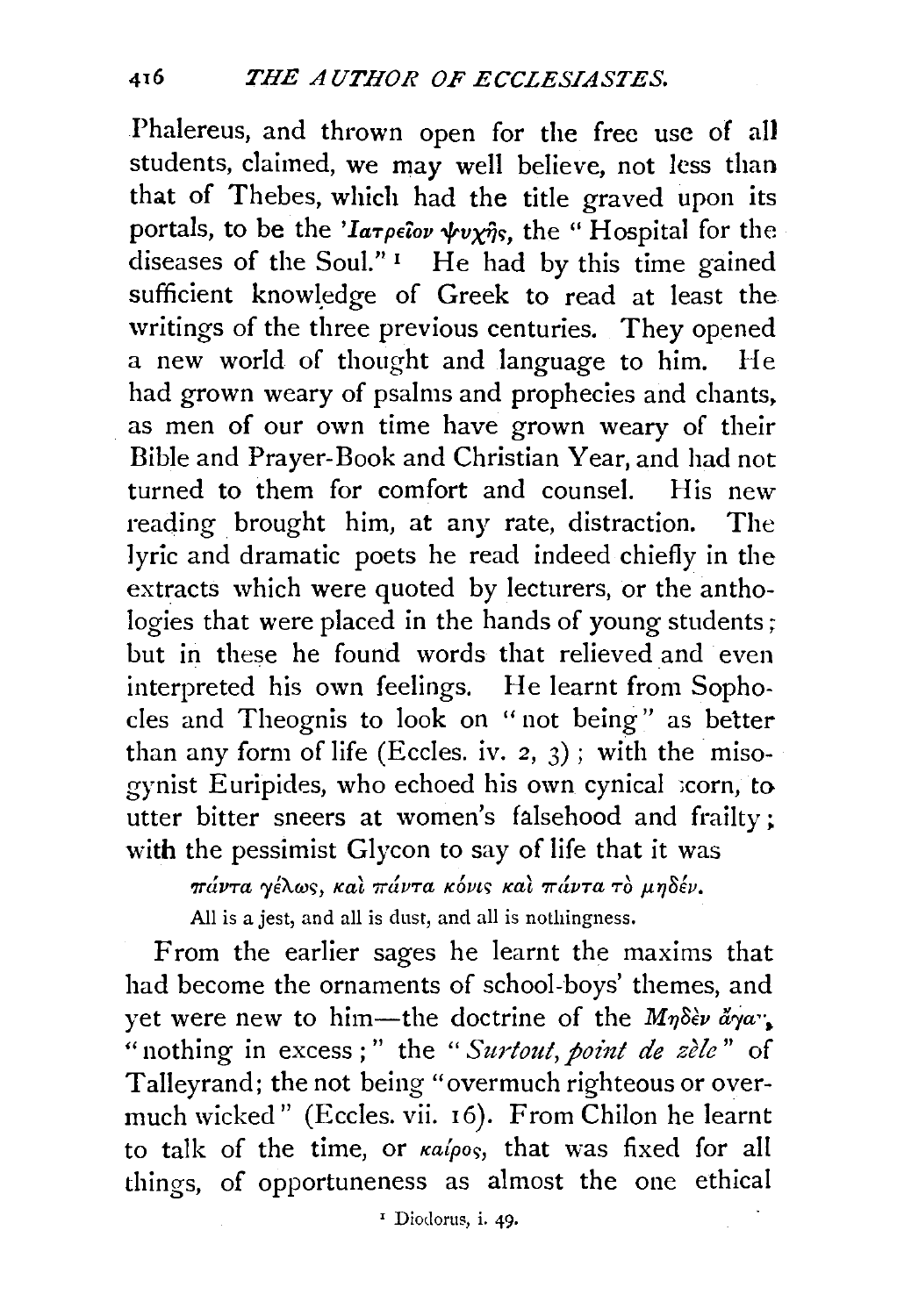Phalereus, and thrown open for the free use of all students, claimed, we may well believe, not less than that of Thebes, which had the title graved upon its portals, to be the *'larpeiov wvxils*, the "Hospital for the diseases of the Soul." $\,$ <sup>1</sup> He had by this time gained sufficient knowledge of Greek to read at least the writings of the three previous centuries. They opened a new world of thought and language to him. He had grown weary of psalms and prophecies and chants. as men of our own time have grown weary of their Bible and Prayer-Book and Christian Year, and had not turned to them for comfort and counsel. His new reading brought him, at any rate, distraction. The lyric and dramatic poets he read indeed chiefly in the extracts which were quoted by lecturers, or the anthologies that were placed in the hands of young students; but in these he found words that relieved and even interpreted his own feelings. He learnt from Sophocles and Theognis to look on " not being" as better than any form of life (Eccles. iv. 2, 3); with the misogynist Euripides, who echoed his own cynical scorn, to utter bitter sneers at women's falsehood and frailty; with the pessimist Glycon to say of life that it was

 $\pi\acute{a}\nu\tau a$  γέλως, και πάντα κόνις και πάντα το μηδέν. All is a jest, and all is dust, and all is nothingness.

From the earlier sages he learnt the maxims that had become the ornaments of school-boys' themes, and yet were new to him-the doctrine of the *M71o€v arya"•*  "nothing in excess;" the "Surtout, point de zèle" of Talleyrand; the not being "overmuch righteous or overmuch wicked" (Eccles. vii. 16). From Chilon he learnt to talk of the time, or  $\kappa a / \rho o s$ , that was fixed for all things, of opportuneness as almost the one ethical

<sup>1</sup> Diodorus, i. 49.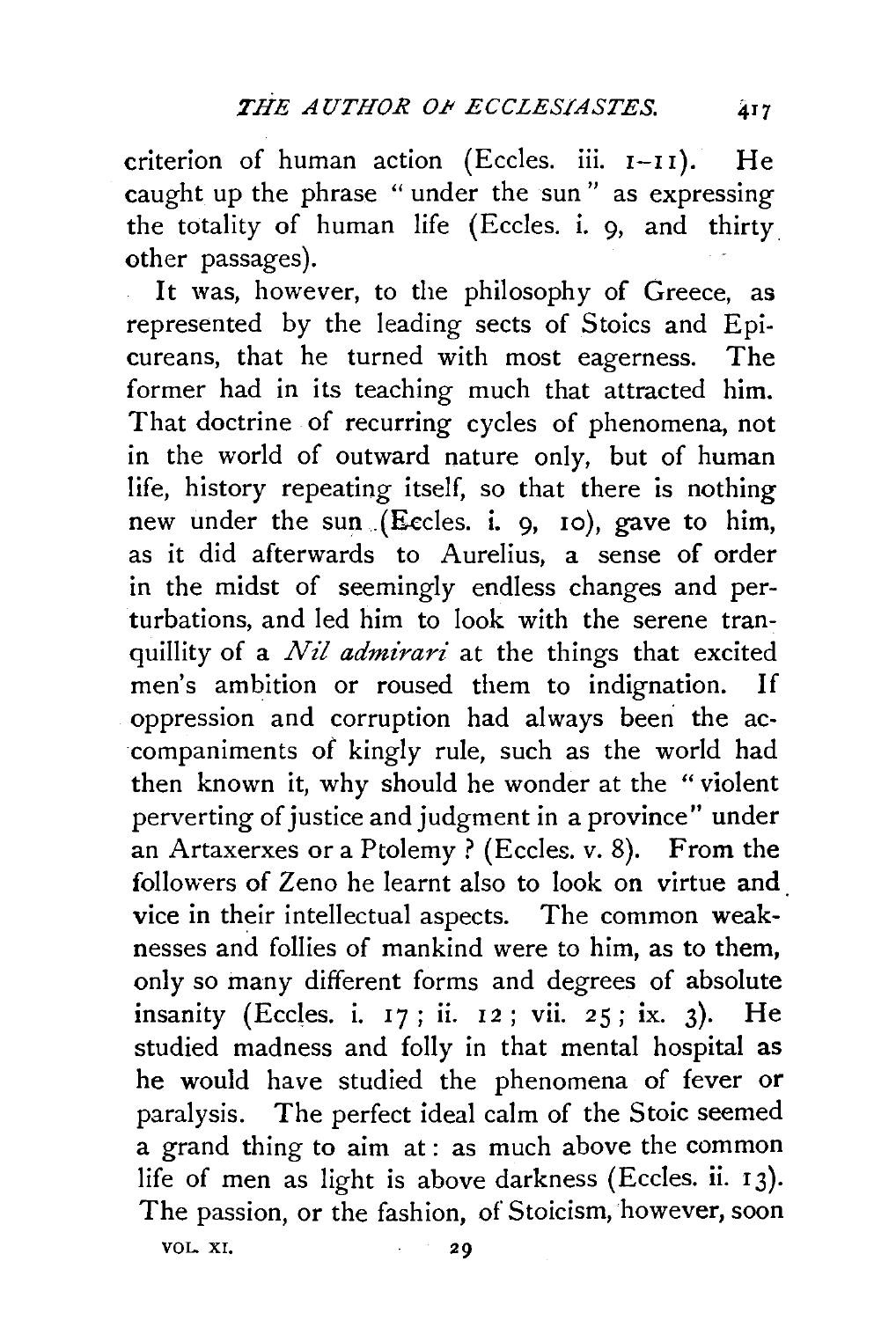criterion of human action (Eccles. iii.  $I-II$ ). He caught up the phrase " under the sun " as expressing the totality of human life (Eccles. i. 9, and thirty other passages).

It was, however, to the philosophy of Greece, as represented by the leading sects of Stoics and Epicureans, that he turned with most eagerness. The former had in its teaching much that attracted him. That doctrine of recurring cycles of phenomena, not in the world of outward nature only, but of human life, history repeating itself, so that there is nothing new under the sun .(Eecles. i. 9, 10), gave to him, as it did afterwards to Aurelius, a sense of order in the midst of seemingly endless changes and perturbations, and led him to look with the serene tranquillity of a *Nil admirari* at the things that excited men's ambition or roused them to indignation. If oppression and corruption had always been the accompaniments *o£* kingly rule, such as the world had then known it, why should he wonder at the "violent perverting of justice and judgment in a province" under an Artaxerxes or a Ptolemy? (Eccles. v. 8). From the followers of Zeno he learnt also to look on virtue and vice in their intellectual aspects. The common weaknesses and follies of mankind were to him, as to them, only so many different forms and degrees of absolute insanity (Eccles. i. 17; ii. 12; vii. 25; ix. 3). He studied madness and folly in that mental hospital as he would have studied the phenomena of fever or paralysis. The perfect ideal calm of the Stoic seemed a grand thing to aim at: as much above the common life of men as light is above darkness (Eccles. ii. 13). The passion, or the fashion, of Stoicism, however, soon

VOL. XI.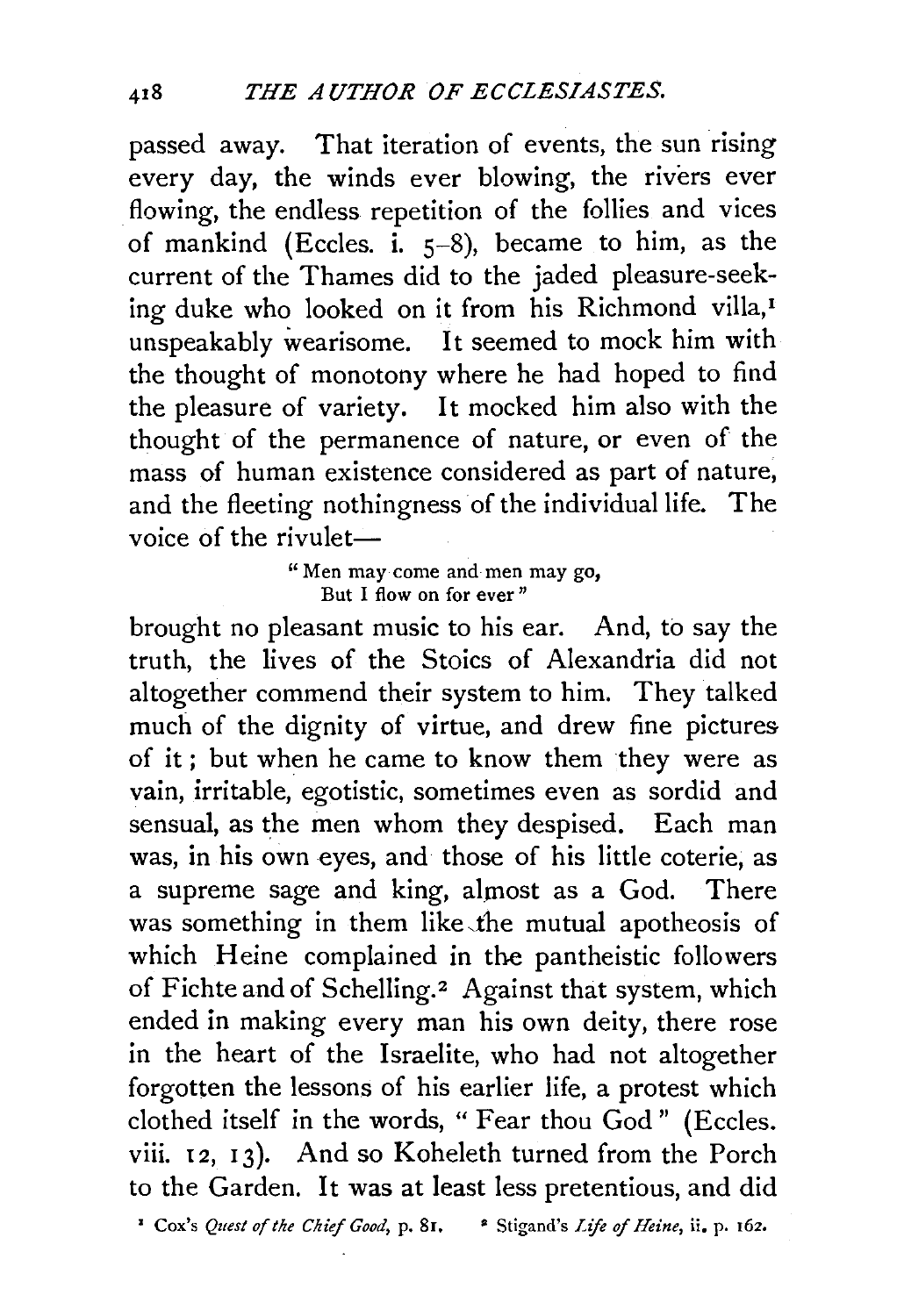passed away. That iteration of events, the sun rising every day, the winds ever blowing, the rivers ever flowing, the endless repetition of the follies and vices of mankind (Eccles. i.  $5-8$ ), became to him, as the current of the Thames did to the jaded pleasure-seeking duke who looked on it from his Richmond villa,<sup>1</sup> unspeakably wearisome. It seemed to mock him with the thought of monotony where he had hoped to find the pleasure of variety. It mocked him also with the thought of the permanence of nature, or even of the mass of human existence considered as part of nature, and the fleeting nothingness of the individual life. The voice of the rivulet-

> "Men may come and men may go, But I flow on for ever"

brought no pleasant music to his ear. And, to say the truth, the lives of the Stoics of Alexandria did not altogether commend their system to him. They talked much of the dignity of virtue, and drew fine pictures of it ; but when he came to know them they were as vain, irritable, egotistic, sometimes even as sordid and sensual, as the men whom they despised. Each man was, in his own eyes, and those of his little coterie, as a supreme sage and king, almost as a God. There was something in them like the mutual apotheosis of which Heine complained in the pantheistic followers of Fichte and of Schelling.<sup>2</sup> Against that system, which ended in making every man his own deity, there rose in the heart of the Israelite, who had not altogether forgotten the lessons of his earlier life, a protest which clothed itself in the words, "Fear thou God" (Eccles. viii. 12, 13). And so Koheleth turned from the Porch to the Garden. It was at least less pretentious, and did

1 Cox's *Quest of the Chief Good,* p. 81, • Stigand's *Lift of Heine,* ii. p. 162.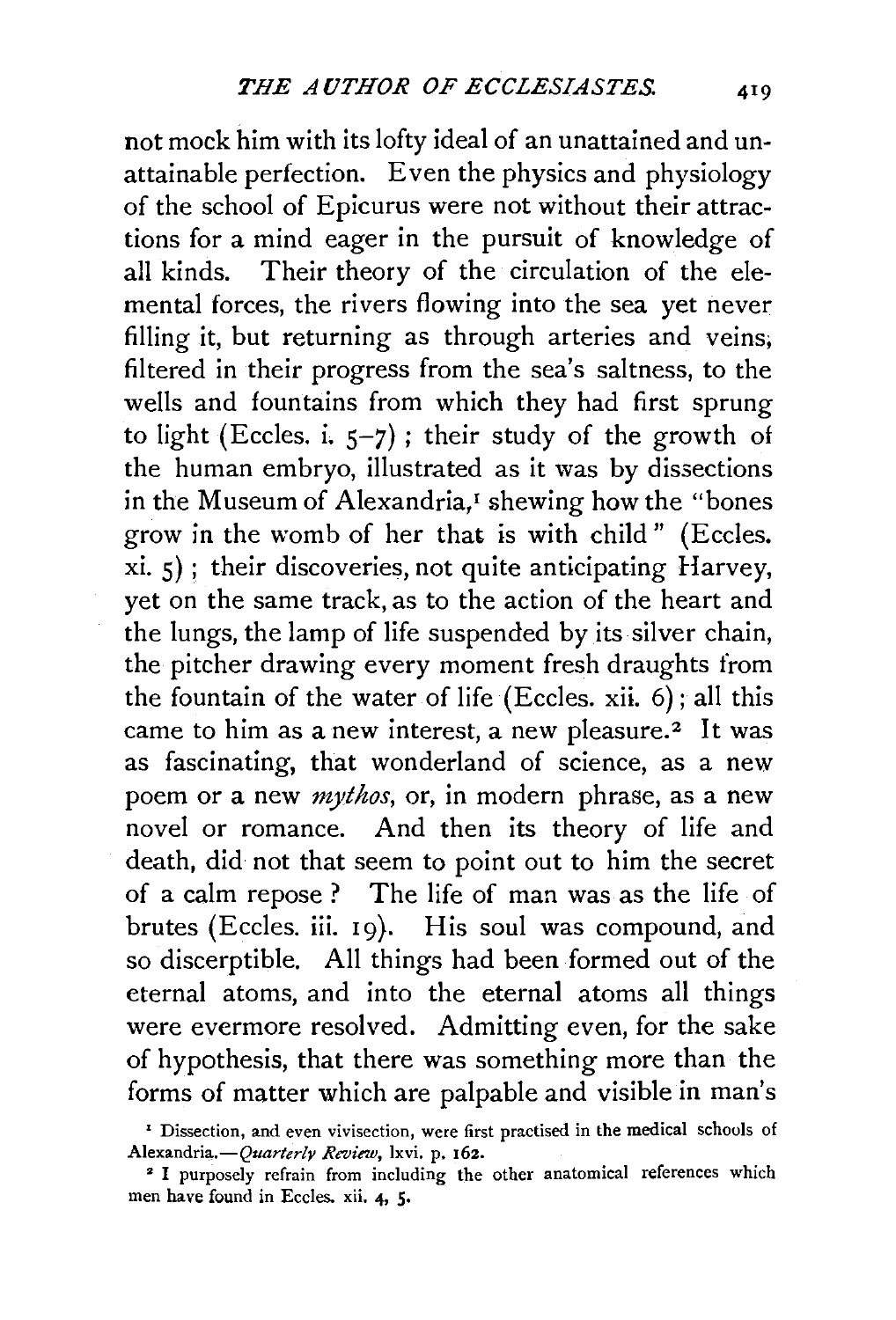not mock him with its lofty ideal of an unattained and unattainable perfection. Even the physics and physiology of the school of Epicurus were not without their attractions for a mind eager in the pursuit of knowledge of all kinds. Their theory of the circulation of the elemental forces, the rivers flowing into the sea yet never filling it, but returning as through arteries and veins; filtered in their progress from the sea's saltness, to the wells and fountains from which they had first sprung to light (Eccles. i.  $5-7$ ); their study of the growth of the human embryo, illustrated as it was by dissections in the Museum of Alexandria,<sup>1</sup> shewing how the "bones" grow in the womb of her that is with child" (Eccles. xi. 5) ; their discoveries, not quite anticipating Harvey, yet on the same track, as to the action of the heart and the lungs, the lamp of life suspended by its silver chain, the pitcher drawing every moment fresh draughts from the fountain of the water of life (Eccles. xii. 6); all this came to him as a new interest, a new pleasure.<sup>2</sup> It was as fascinating, that wonderland of science, as a new poem or a new *mythos*, or, in modern phrase, as a new novel or romance. And then its theory of life and death, did not that seem to point out to him the secret of a calm repose ? The life of man was as the life of brutes (Eccles. iii. 19). His soul was compound, and so discerptible. All things had been formed out of the eternal atoms, and into the eternal atoms all things were evermore resolved. Admitting even, for the sake of hypothesis, that there was something more than the forms of matter which are palpable and visible in man's

*<sup>&#</sup>x27;* Dissection, and even vivisection, were first practised in the medical schools of *Aiexandria.-Quarterly Review,* lxvi. p. 162.

<sup>&</sup>lt;sup>2</sup> I purposely refrain from including the other anatomical references which men have found in Eccles. xii. 4, 5·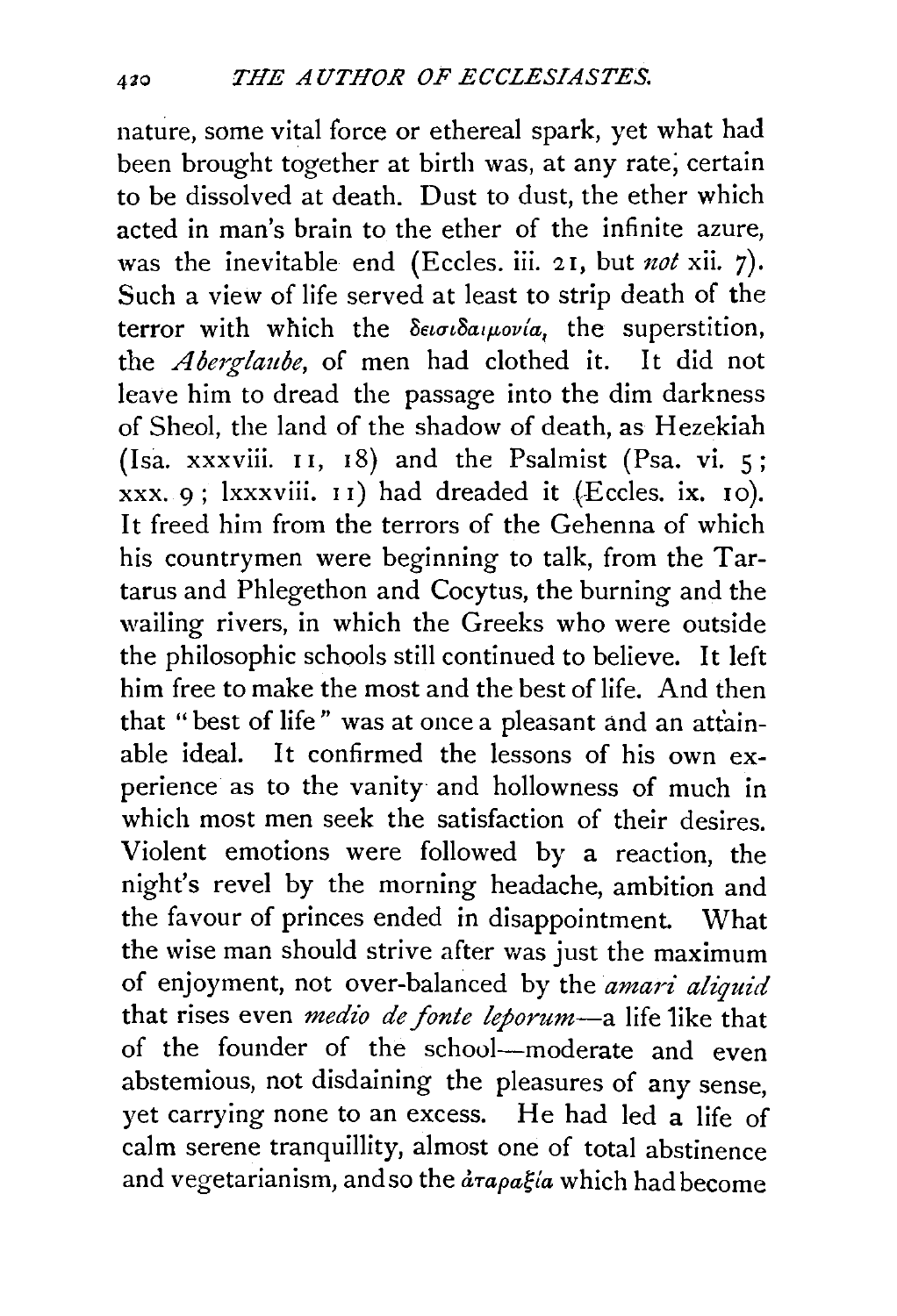nature, some vital force or ethereal spark, yet what had been brought together at birth was, at any rate; certain to be dissolved at death. Dust to dust, the ether which acted in man's brain to the ether of the infinite azure, was the inevitable end (Eccles. iii. 21, but *not* xii. 7). Such a view of life served at least to strip death of the terror with which the  $\delta \epsilon_i \sigma_i \delta a_i \mu_i$  the superstition, the *A berglaube,* of men had clothed it. It did not leave him to dread the passage into the dim darkness of Sheol, the land of the shadow of death, as Hezekiah (Isa. xxxviii.  $11, 18$ ) and the Psalmist (Psa. vi. 5;  $xxxx$ ,  $9$ ;  $lxxxviii$ .  $11$ ) had dreaded it (Eccles. ix.  $10$ ). It freed him from the terrors of the Gehenna of which his countrymen were beginning to talk, from the Tartarus and Phlegethon and Cocytus, the burning and the wailing rivers, in which the Greeks who were outside the philosophic schools still continued to believe. It left him free to make the most and the best of life. And then that " best of life" was at once a pleasant and an attainable ideal. It confirmed the lessons of his own experience as to the vanity and hollowness of much in which most men seek the satisfaction of their desires. Violent emotions were followed by a reaction, the night's revel by the morning headache, ambition and the favour of princes ended in disappointment. What the wise man should strive after was just the maximum of enjoyment, not over-balanced by the *amari aliquid*  that rises even *medio de fonte leporum-a* life 1ike that of the founder of the school-moderate and even abstemious, not disdaining the pleasures of any sense, yet carrying none to an excess. He had led a life of calm serene tranquillity, almost one of total abstinence and vegetarianism, and so the  $d\tau a\rho a\xi/a$  which had become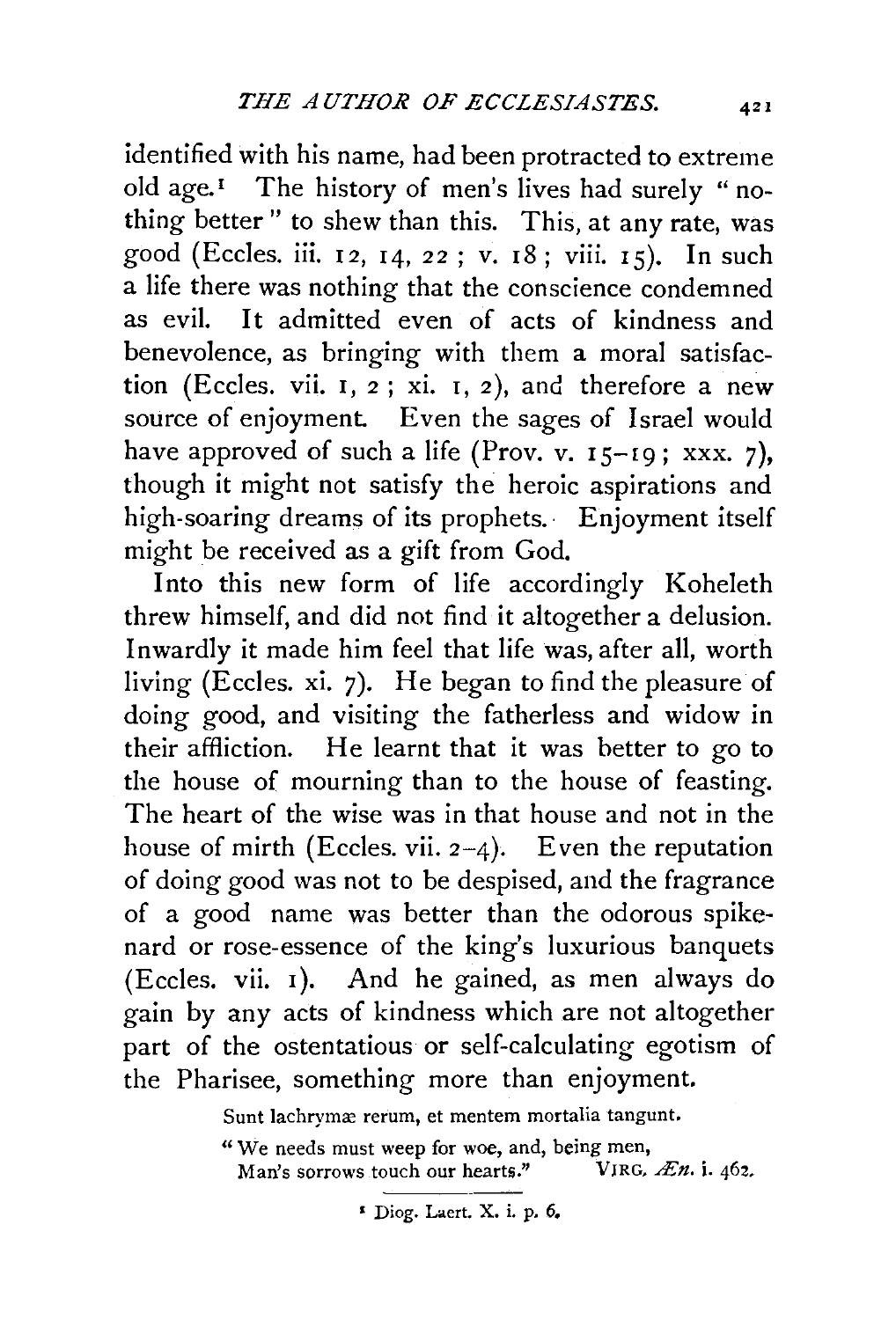identified with his name, had been protracted to extreme old age.<sup> $I$ </sup> The history of men's lives had surely "nothing better" to shew than this. This, at any rate, was good (Eccles. iii. 12, 14, 22; v. 18; viii. 15). In such a life there was nothing that the conscience condemned as evil. It admitted even of acts of kindness and benevolence, as bringing with them a moral satisfaction (Eccles. vii. I, 2 ; xi. r, 2 ), and therefore a new source of enjoyment. Even the sages of Israel would have approved of such a life (Prov. v.  $15-19$ ; xxx. 7), though it might not satisfy the heroic aspirations and high-soaring dreams of its prophets. Enjoyment itself might be received as a gift from God.

Into this new form of life accordingly Koheleth threw himself, and did not find it altogether a delusion. Inwardly it made him feel that life was, after all, worth living (Eccles. xi. 7). He began to find the pleasure of doing good, and visiting the fatherless and widow in their affliction. He learnt that it was better to go to the house of mourning than to the house of feasting. The heart of the wise was in that house and not in the house of mirth (Eccles. vii.  $2-4$ ). Even the reputation of doing good was not to be despised, and the fragrance of a good name was better than the odorous spikenard or rose-essence of the king's luxurious banquets (Eccles. vii. I). And he gained, as men always do gain by any acts of kindness which are not altogether part of the ostentatious or self-calculating egotism of the Pharisee, something more than enjoyment.

Sunt lachrymæ rerum, et mentem mortalia tangunt.

"We needs must weep for woe, and, being men,<br>Man's sorrows touch our hearts." VIRG,  $\mathcal{L}n$ , i. 462. Man's sorrows touch our hearts."

<sup>•</sup> Diog. Laert. X. i. p. 6,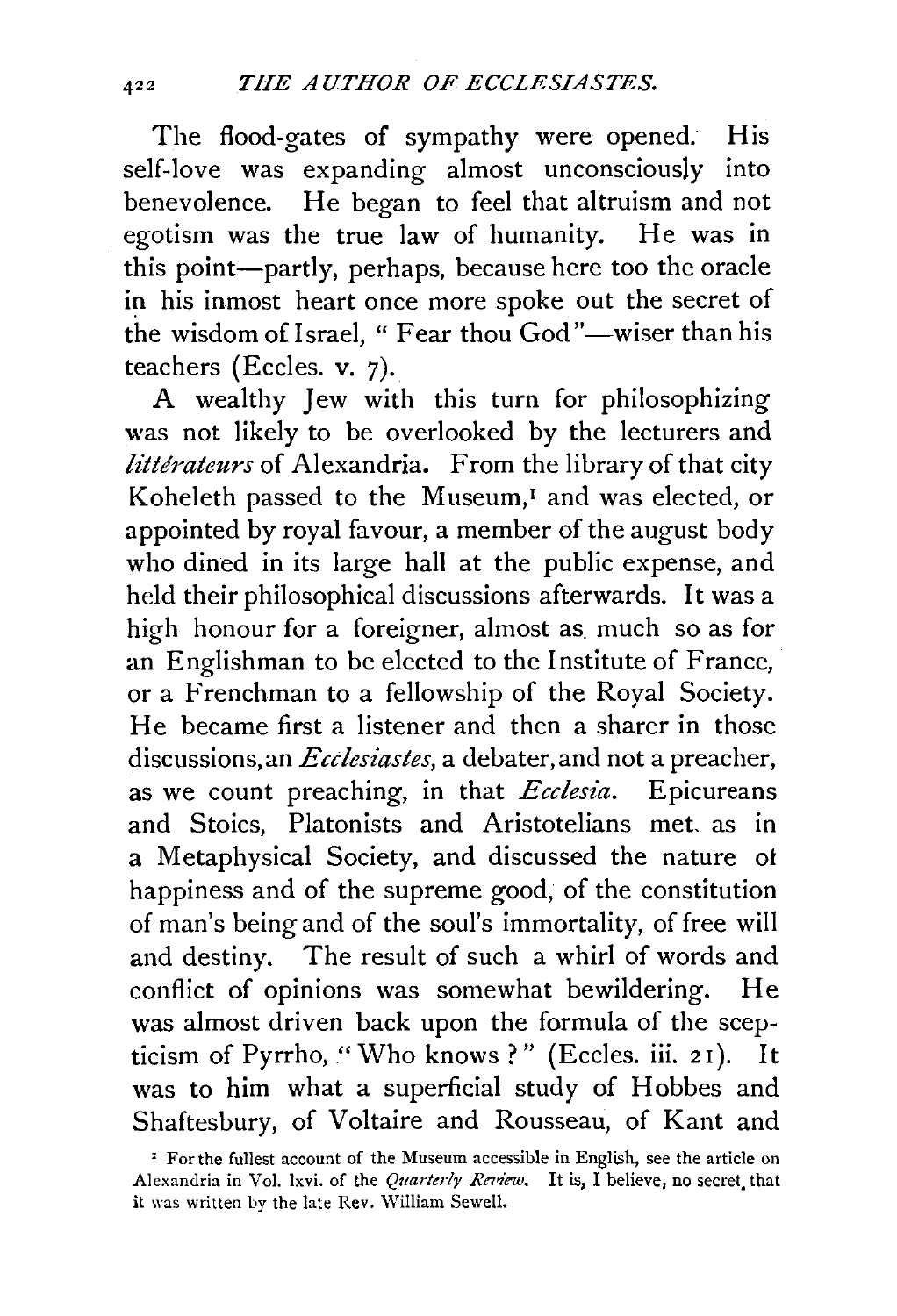The flood-gates of sympathy were opened. His self-love was expanding almost unconsciously into benevolence. He began to feel that altruism and not egotism was the true law of humanity. He was in this point-partly, perhaps, because here too the oracle in his inmost heart once more spoke out the secret of the wisdom of Israel, " Fear thou God"-wiser than his teachers (Eccles. v. 7).

A wealthy Jew with this turn for philosophizing was not likely to be overlooked by the lecturers and *littérateurs* of Alexandria. From the library of that city Koheleth passed to the Museum,<sup>1</sup> and was elected, or appointed by royal favour, a member of the august body who dined in its large hall at the public expense, and held their philosophical discussions afterwards. It was a high honour for a foreigner, almost as much so as for an Englishman to be elected to the Institute of France, or a Frenchman to a fellowship of the Royal Society. He became first a listener and then a sharer in those discussions, an *Ecdesiastes,* a debater, and not a preacher, as we count preaching, in that *Ecclesia.* Epicureans and Stoics, Platonists and Aristotelians met. as in a Metaphysical Society, and discussed the nature ot happiness and of the supreme good, of the constitution of man's being and of the soul's immortality, of free will and destiny. The result of such a whirl of words and conflict of opinions was somewhat bewildering. He was almost driven back upon the formula of the scepticism of Pyrrho, "Who knows ?" (Eccles. iii. 21). It was to him what a superficial study of Hobbes and Shaftesbury, of Voltaire and Rousseau, of Kant and

<sup>&</sup>lt;sup>1</sup> For the fullest account of the Museum accessible in English, see the article on Alexandria in Vol. lxvi. of the *Quarterly Review*. It is, I believe, no secret that it was written by the late Rev. William Sewell.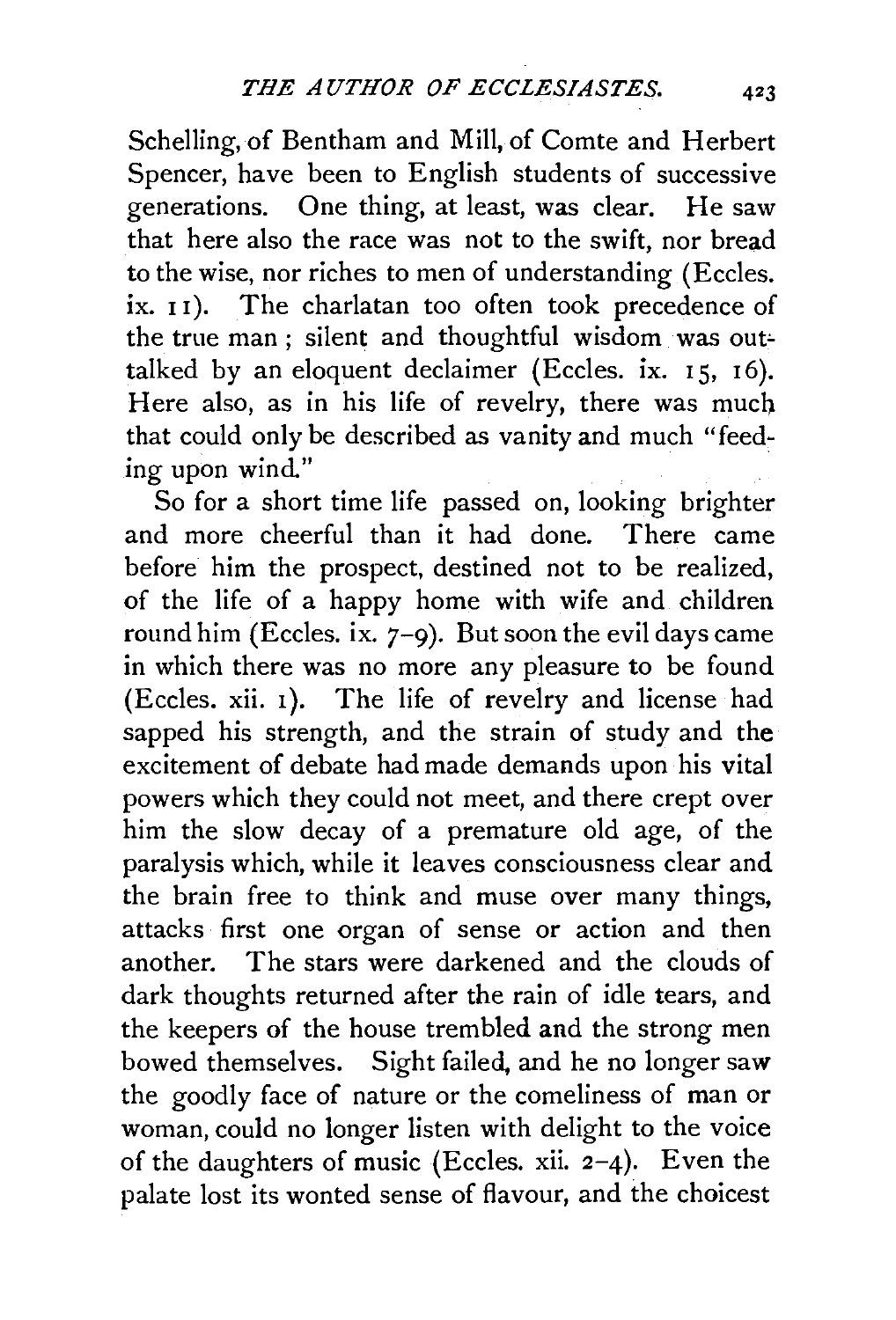Schelling, of Bentham and Mill, of Comte and Herbert Spencer, have been to English students of successive generations. One thing, at least, was clear. He saw that here also the race was not to the swift, nor bread to the wise, nor riches to men of understanding (Eccles. ix. 11). The charlatan too often took precedence of the true man; silent and thoughtful wisdom was outtalked by an eloquent declaimer (Eccles. ix.  $15, 16$ ). Here also, as in his life of revelry, there was much that could only be described as vanity and much "feeding upon wind."

So for a short time life passed on, looking brighter and more cheerful than it had done. There came before him the prospect, destined not to be realized, of the life of a happy home with wife and children round him (Eccles. ix.  $7-9$ ). But soon the evil days came in which there was no more any pleasure to be found (Eccles. xii. 1). The life of revelry and license had sapped his strength, and the strain of study and the excitement of debate had made demands upon his vital powers which they could not meet, and there crept over him the slow decay of a premature old age, of the paralysis which, while it leaves consciousness clear and the brain free to think and muse over many things, attacks first one organ of sense or action and then another. The stars were darkened and the clouds of dark thoughts returned after the rain of idle tears, and the keepers of the house trembled and the strong men bowed themselves. Sight failed, and he no longer saw the goodly face of nature or the comeliness of man or woman, could no longer listen with delight to the voice of the daughters of music (Eccles. xii.  $2-4$ ). Even the palate lost its wonted sense of flavour, and the choicest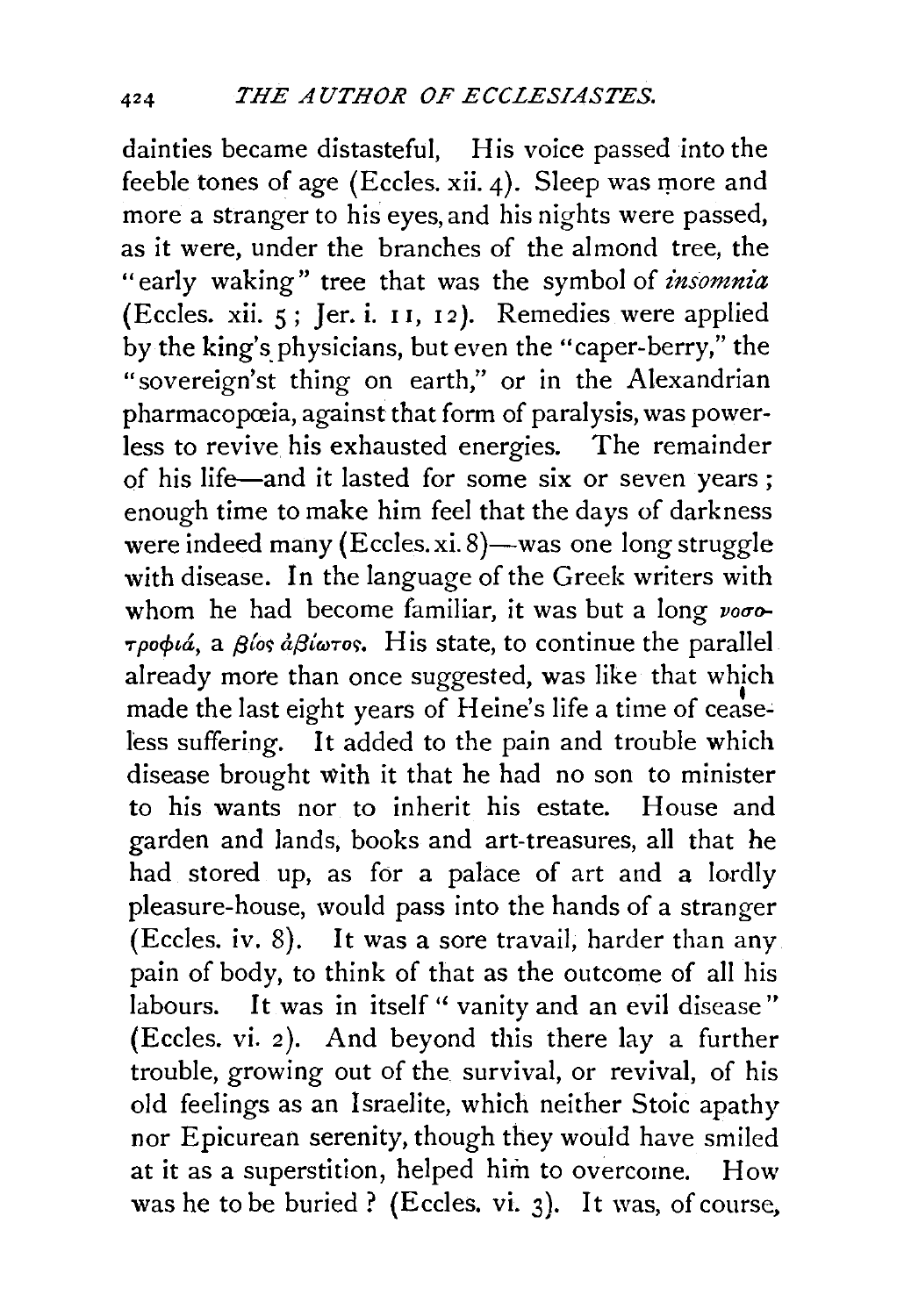dainties became distasteful, His voice passed into the feeble tones of age (Eccles. xii. 4). Sleep was more and more a stranger to his eyes, and his nights were passed, as it were, under the branches of the almond tree, the "early waking" tree that was the symbol of *insomnia* (Eccles. xii. 5; Jer. i. 1 1, I *2 ).* Remedies were applied by the king's physicians, but even the "caper-berry," the "sovereign'st thing on earth," or in the Alexandrian pharmacopœia, against that form of paralysis, was powerless to revive his exhausted energies. The remainder of his life-and it lasted for some six or seven years ; enough time to make him feel that the days of darkness were indeed many  $(Ecles.xi. 8)$ —was one long struggle with disease. In the language of the Greek writers with whom he had become familiar, it was but a long voo- $\tau \rho \circ \phi \iota \dot{a}$ , a *βίος*  $\dot{a} \beta \dot{\iota} \omega \tau \circ s$ *.* His state, to continue the parallel already more than once suggested, was like that which made the last eight years of Heine's life a time of ceaseless suffering. It added to the pain and trouble which disease brought with it that he had no son to minister to his wants nor to inherit his estate. House and garden and lands, books and art-treasures, all that he had stored up, as for a palace of art and a lordly pleasure-house, would pass into the hands of a stranger (Eccles. iv. 8). It was a sore travail, harder than any pain of body, to think of that as the outcome of all his labours. It was in itself " vanity and an evil disease" (Eccles. vi. *2* ). And beyond this there lay a further trouble, growing out of the survival, or revival, of his old feelings as an Israelite, which neither Stoic apathy nor Epicurean serenity, though they would have smiled at it as a superstition, helped him to overcome. How was he to be buried ? (Eccles. vi. 3). It was, of course,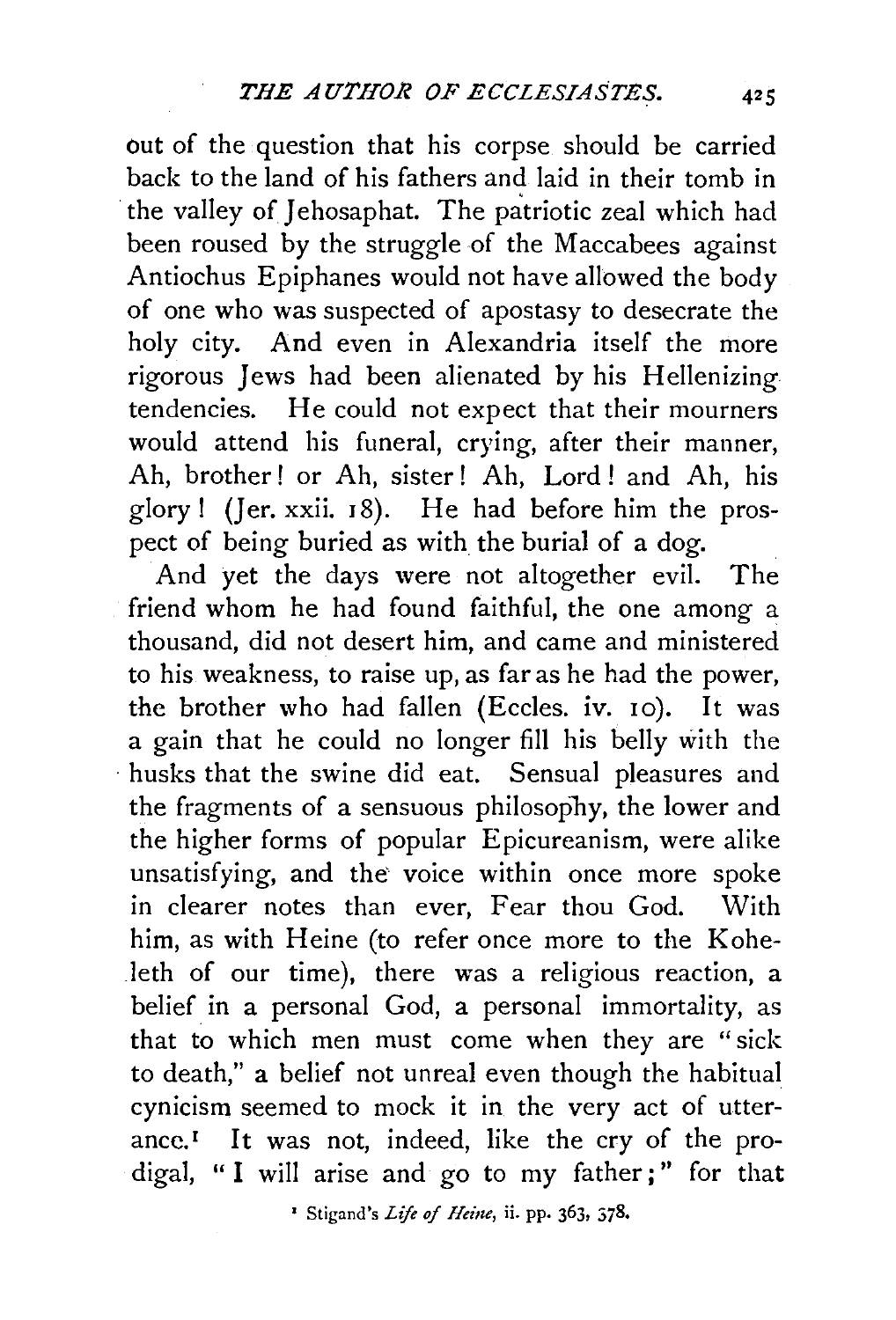out of the question that his corpse should be carried back to the land of his fathers and laid in their tomb in the valley of Jehosaphat. The patriotic zeal which had been roused by the struggle of the Maccabees against Antiochus Epiphanes would not have allowed the body of one who was suspected of apostasy to desecrate the holy city. And even in Alexandria itself the more rigorous Jews had been alienated by his Hellenizing tendencies. He could not expect that their mourners would attend his funeral, crying, after their manner, Ah, brother ! or Ah, sister ! Ah, Lord ! and Ah, his glory ! (Jer.  $xxii$ .  $18$ ). He had before him the prospect of being buried as with the burial of a dog.

And yet the days were not altogether evil. The friend whom he had found faithful, the one among a thousand, did not desert him, and came and ministered to his weakness, to raise up, as far as he had the power, the brother who had fallen (Eccles. iv. 10). It was a gain that he could no longer fill his belly with the · husks that the swine did eat. Sensual pleasures and the fragments of a sensuous philosophy, the lower and the higher forms of popular Epicureanism, were alike unsatisfying, and the voice within once more spoke in clearer notes than ever, Fear thou God. With him, as with Heine (to refer once more to the Koheleth of our time), there was a religious reaction, a belief in a personal God, a personal immortality, as that to which men must come when they are "sick to death," a belief not unreal even though the habitual cynicism seemed to mock it in the very act of utterance.<sup>I</sup> It was not, indeed, like the cry of the prodigal, "I will arise and go to my father;" for that

<sup>2</sup> Stigand's *Life of Heine*, ii. pp. 363, 378.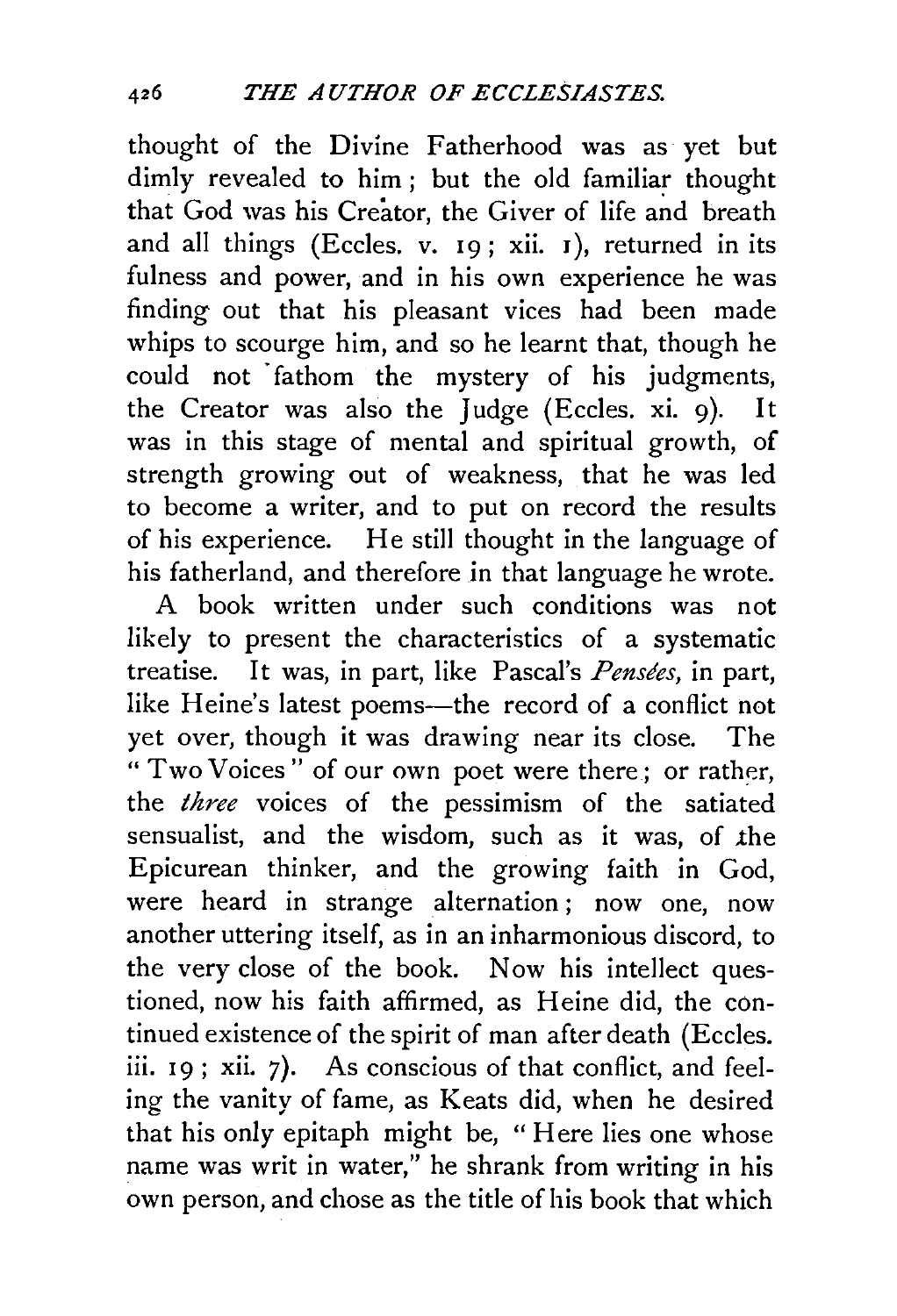thought of the Divine Fatherhood was as yet but dimly revealed to him ; but the old familiar thought that God was his Creator, the Giver of life and breath and all things (Eccles. v.  $19$ ; xii.  $1$ ), returned in its fulness and power, and in his own experience he was finding out that his pleasant vices had been made whips to scourge him, and so he learnt that, though he could not fathom the mystery of his judgments, the Creator was also the Judge (Eccles. xi. 9). It was in this stage of mental and spiritual growth, of strength growing out of weakness, that he was led to become a writer, and to put on record the results of his experience. He still thought in the language of his fatherland, and therefore in that language he wrote.

A book written under such conditions was not likely to present the characteristics of a systematic treatise. It was, in part, like Pascal's *Pensees,* in part, like Heine's latest poems--- the record of a conflict not yet over, though it was drawing near its close. The " Two Voices" of our own poet were there; or rather, the *three* voices of the pessimism of the satiated sensualist, and the wisdom, such as it was, of the Epicurean thinker, and the growing faith in God, were heard in strange alternation ; now one, now another uttering itself, as in an inharmonious discord, to the very close of the book. Now his intellect questioned, now his faith affirmed, as Heine did, the continued existence of the spirit of man after death (Eccles. iii.  $19$ ; xii. 7). As conscious of that conflict, and feeling the vanity of fame, as Keats did, when he desired that his only epitaph might be, "Here lies one whose name was writ in water," he shrank from writing in his own person, and chose as the title of his book that which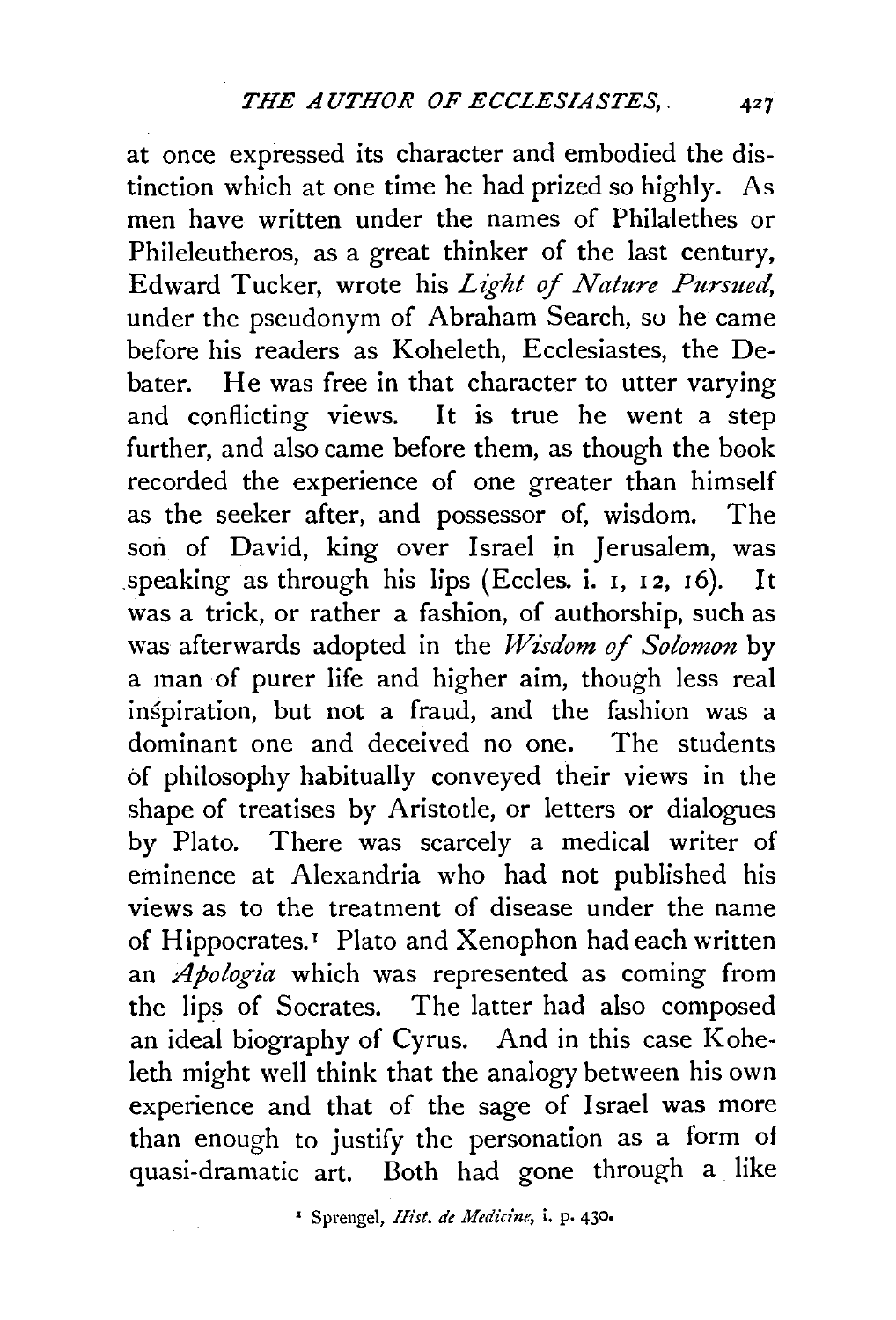at once expressed its character and embodied the distinction which at one time he had prized so highly. As men have written under the names of Philalethes or Phileleutheros, as a great thinker of the last century, Edward Tucker, wrote his *Light of Nature Pursued,*  under the pseudonym of Abraham Search, so he came before his readers as Koheleth, Ecclesiastes, the Debater. He was free in that character to utter varying and conflicting views. It is true he went a step further, and also came before them, as though the book recorded the experience of one greater than himself as the seeker after, and possessor of, wisdom. The son of David, king over Israel in Jerusalem, was .speaking as through his lips (Eccles. i. I, 12, 16). It was a trick, or rather a fashion, of authorship, such as was afterwards adopted in the *Wisdom of Solomon* by a man of purer life and higher aim, though less real inspiration, but not a fraud, and the fashion was a dominant one and deceived no one. The students of philosophy habitually conveyed their views in the shape of treatises by Aristotle, or letters or dialogues by Plato. There was scarcely a medical writer of eminence at Alexandria who had not published his views as to the treatment of disease under the name of Hippocrates.<sup>1</sup> Plato and Xenophon had each written an *Apologia* which was represented as coming from the lips of Socrates. The latter had also composed an ideal biography of Cyrus. And in this case Koheleth might well think that the analogy between his own experience and that of the sage of Israel was more than enough to justify the personation as a form of quasi-dramatic art. Both had gone through a like

1 Sprengel, *Hist. de Medicine,* i. p. 430.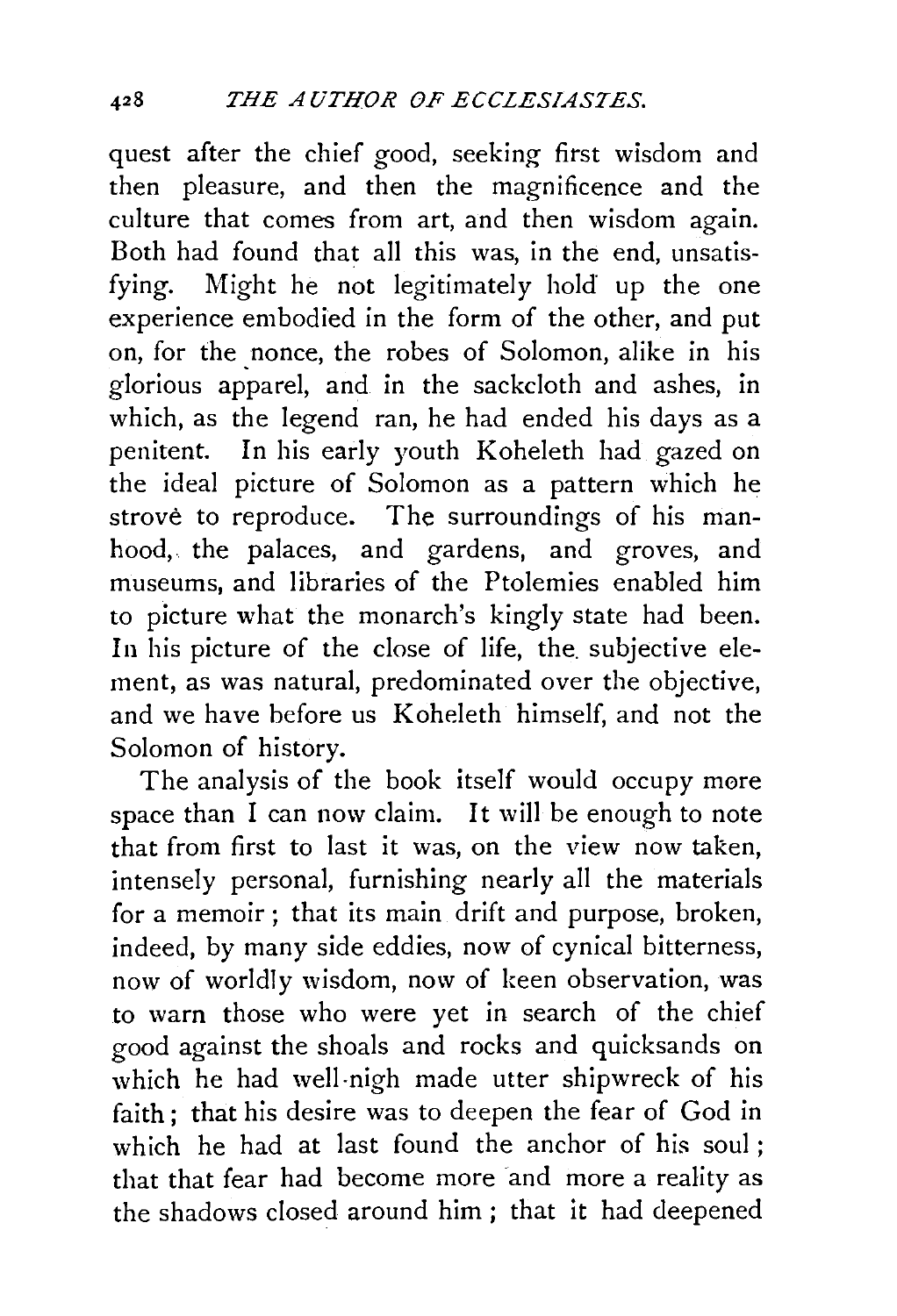quest after the chief good, seeking first wisdom and then pleasure, and then the magnificence and the culture that comes from art, and then wisdom again. Both had found that all this was, in the end, unsatisfying. Might he not legitimately hold up the one experience embodied in the form of the other, and put on, for the nonce, the robes of Solomon, alike in his glorious apparel, and in the sackcloth and ashes, in which, as the legend ran, he had ended his days as a penitent. In his early youth Koheleth had gazed on the ideal picture of Solomon as a pattern which he strove to reproduce. The surroundings of his manhood, the palaces, and gardens, and groves, and museums, and libraries of the Ptolemies enabled him to picture what the monarch's kingly state had been. In his picture of the close of life, the. subjective element, as was natural, predominated over the objective, and we have before us Koheleth himself, and not the Solomon of history.

The analysis of the book itself would occupy more space than I can now claim. It will be enough to note that from first to last it was, on the view now taken, intensely personal, furnishing nearly all the materials for a memoir ; that its main drift and purpose, broken, indeed, by many side eddies, now of cynical bitterness, now of worldly wisdom, now of keen observation, was to warn those who were yet in search of the chief good against the shoals and rocks and quicksands on which he had well-nigh made utter shipwreck of his faith; that his desire was to deepen the fear of God in which he had at last found the anchor of his soul ; that that fear had become more and more a reality as the shadows closed around him ; that it had deepened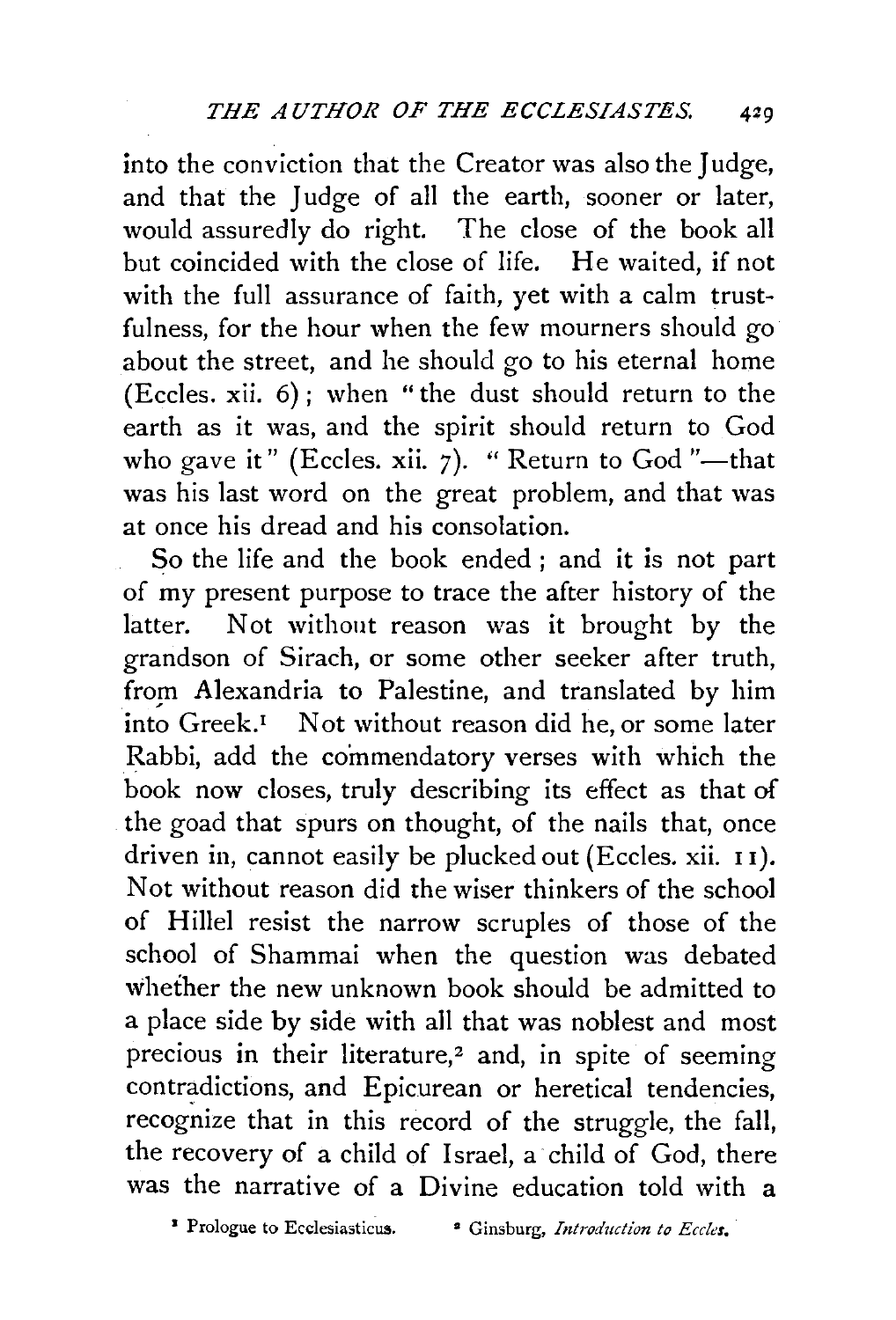into the conviction that the Creator was also the Judge, and that the Judge of all the earth, sooner or later, would assuredly do right. The close of the book all but coincided with the close of life. He waited, if not with the full assurance of faith, yet with a calm trustfulness, for the hour when the few mourners should go about the street, and he should go to his eternal home (Eccles. xii. 6); when "the dust should return to the earth as it was, and the spirit should return to God who gave it" (Eccles. xii.  $7$ ). " Return to God "--that was his last word on the great problem, and that was at once his dread and his consolation.

So the life and the book ended ; and it is not part of my present purpose to trace the after history of the latter. Not without reason was it brought by the grandson of Sirach, or some other seeker after truth, from Alexandria to Palestine, and translated by him into Greek.<sup>1</sup> Not without reason did he, or some later Rabbi, add the commendatory verses with which the book now closes, truly describing its effect as that of the goad that spurs on thought, of the nails that, once driven in, cannot easily be plucked out (Eccles. xii. I I). Not without reason did the wiser thinkers of the school of Hillel resist the narrow scruples of those of the school of Shammai when the question was debated whether the new unknown book should be admitted to a place side by side with all that was noblest and most precious in their literature? and, in spite of seeming contradictions, and Epicurean or heretical tendencies, recognize that in this record of the struggle, the fall, the recovery of a child of Israel, a child of God, there was the narrative of a Divine education told with a

<sup>&</sup>lt;sup>1</sup> Prologue to Ecclesiasticus. <sup>•</sup> Ginsburg, Introduction to Eccles.